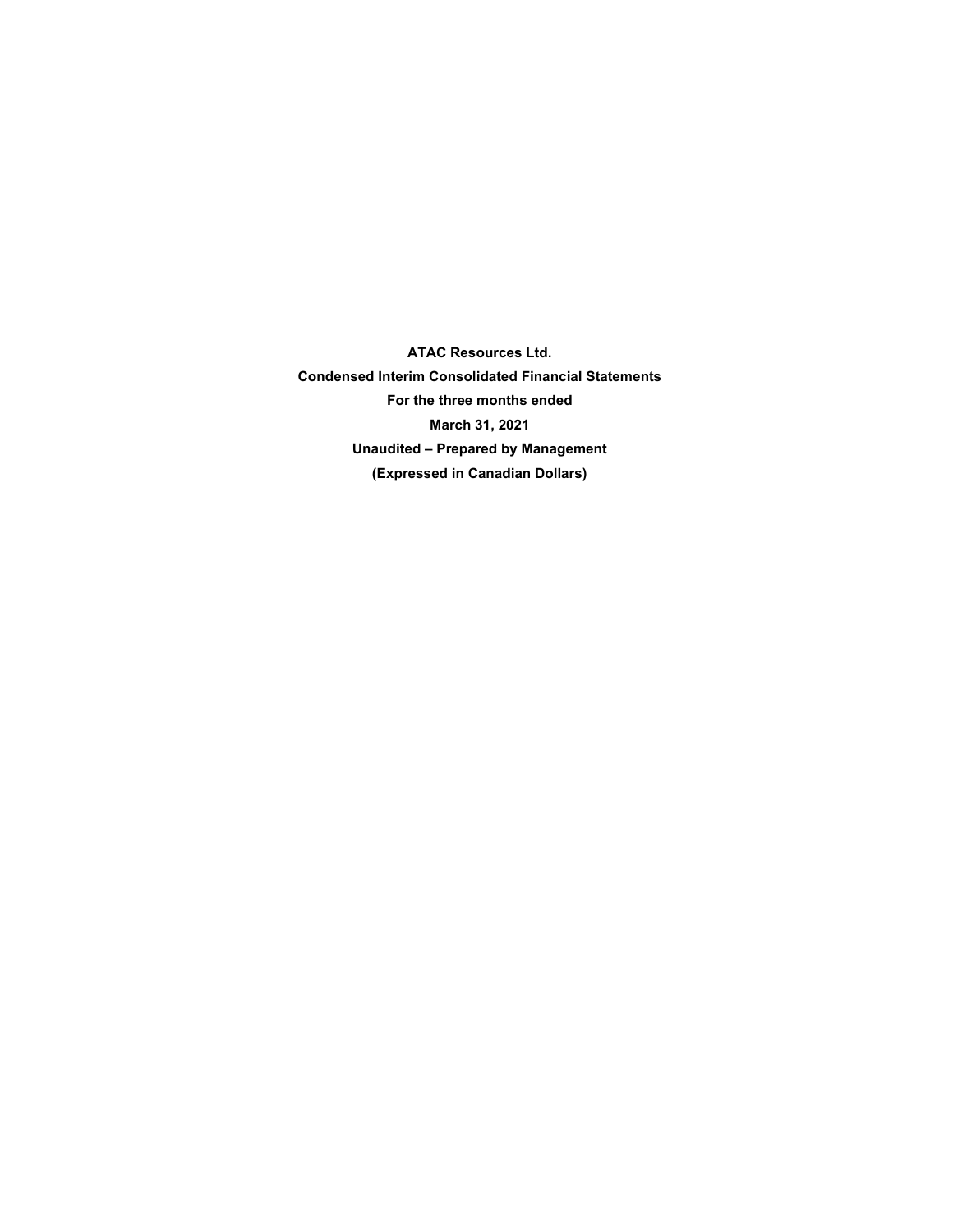**ATAC Resources Ltd. Condensed Interim Consolidated Financial Statements For the three months ended March 31, 2021 Unaudited – Prepared by Management (Expressed in Canadian Dollars)**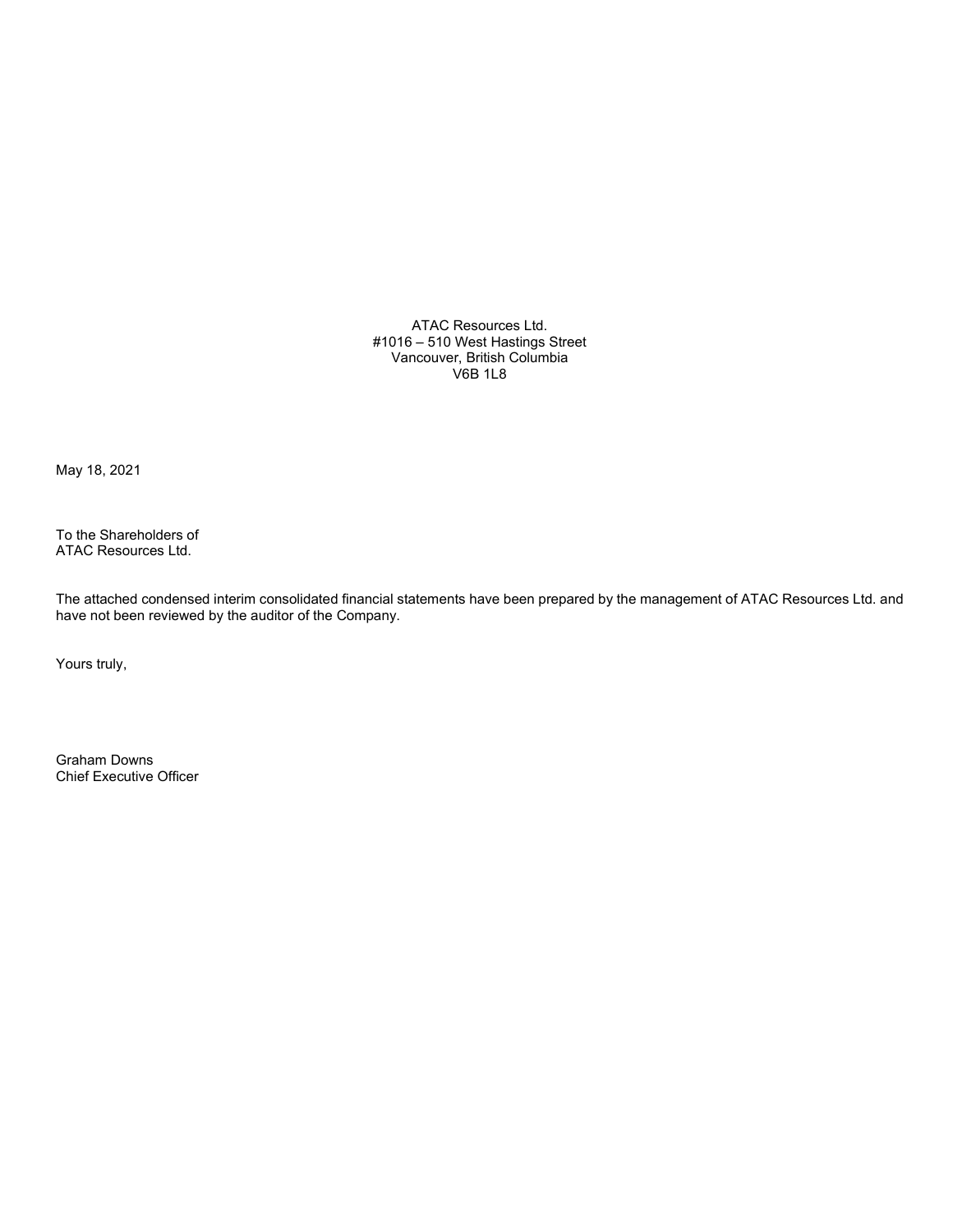ATAC Resources Ltd. #1016 – 510 West Hastings Street Vancouver, British Columbia V6B 1L8

May 18, 2021

To the Shareholders of ATAC Resources Ltd.

The attached condensed interim consolidated financial statements have been prepared by the management of ATAC Resources Ltd. and have not been reviewed by the auditor of the Company.

Yours truly,

Graham Downs Chief Executive Officer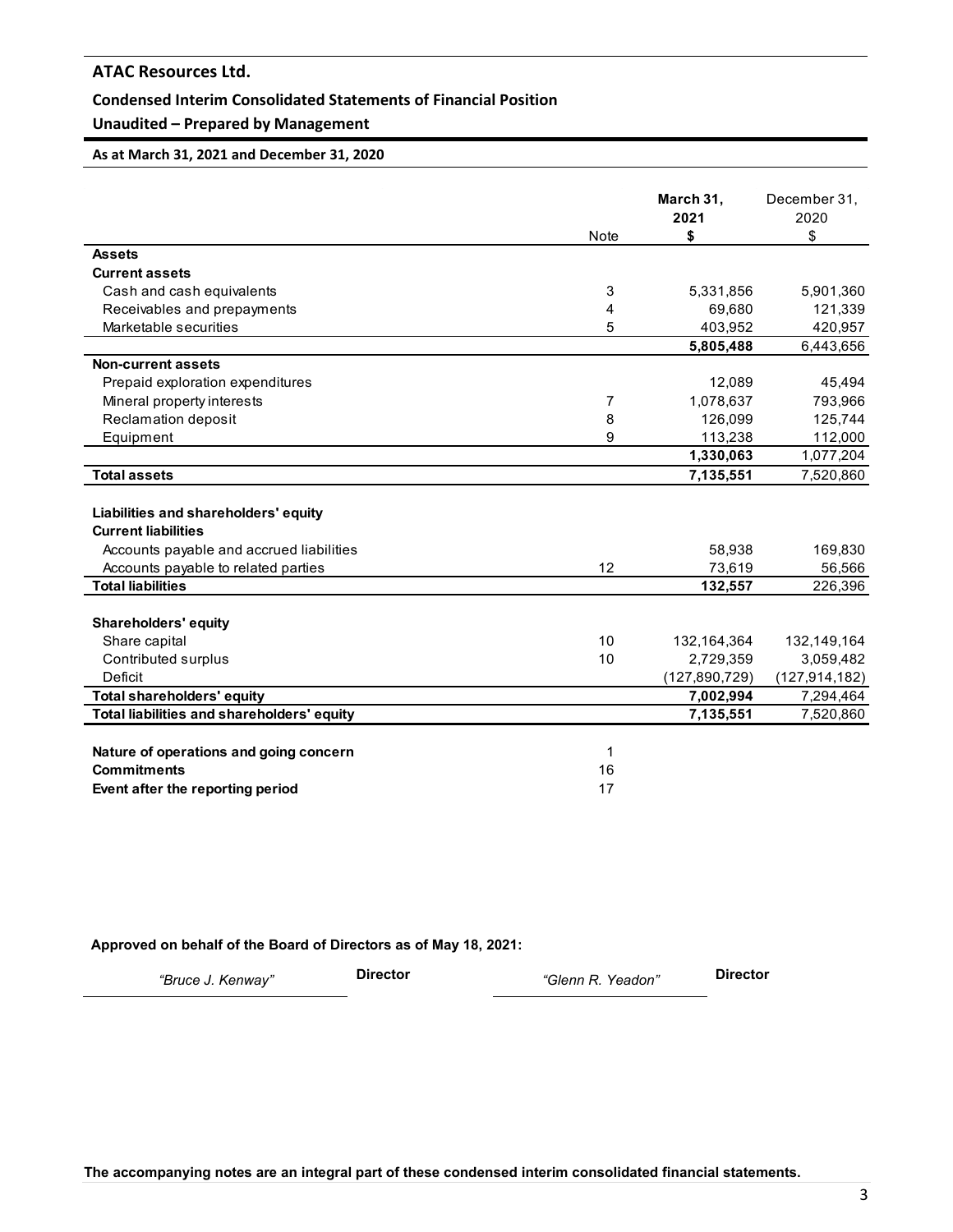### **Condensed Interim Consolidated Statements of Financial Position**

### **Unaudited – Prepared by Management**

### **As at March 31, 2021 and December 31, 2020**

|                                                                    | <b>Note</b> | March 31,<br>2021<br>\$ | December 31,<br>2020<br>\$ |
|--------------------------------------------------------------------|-------------|-------------------------|----------------------------|
| <b>Assets</b>                                                      |             |                         |                            |
| <b>Current assets</b>                                              |             |                         |                            |
| Cash and cash equivalents                                          | 3           | 5,331,856               | 5,901,360                  |
| Receivables and prepayments                                        | 4           | 69,680                  | 121,339                    |
| Marketable securities                                              | 5           | 403,952                 | 420,957                    |
|                                                                    |             | 5,805,488               | 6,443,656                  |
| Non-current assets                                                 |             |                         |                            |
| Prepaid exploration expenditures                                   |             | 12,089                  | 45,494                     |
| Mineral property interests                                         | 7           | 1,078,637               | 793,966                    |
| Reclamation deposit                                                | 8           | 126,099                 | 125,744                    |
| Equipment                                                          | 9           | 113,238                 | 112,000                    |
|                                                                    |             | 1,330,063               | 1,077,204                  |
| <b>Total assets</b>                                                |             | 7,135,551               | 7,520,860                  |
| Liabilities and shareholders' equity<br><b>Current liabilities</b> |             |                         |                            |
| Accounts payable and accrued liabilities                           |             | 58,938                  | 169,830                    |
| Accounts payable to related parties                                | 12          | 73,619                  | 56,566                     |
| <b>Total liabilities</b>                                           |             | 132,557                 | 226,396                    |
|                                                                    |             |                         |                            |
| <b>Shareholders' equity</b>                                        |             |                         |                            |
| Share capital                                                      | 10          | 132,164,364             | 132,149,164                |
| Contributed surplus                                                | 10          | 2,729,359               | 3,059,482                  |
| Deficit                                                            |             | (127, 890, 729)         | (127, 914, 182)            |
| <b>Total shareholders' equity</b>                                  |             | 7,002,994               | 7,294,464                  |
| Total liabilities and shareholders' equity                         |             | 7,135,551               | 7,520,860                  |
| Nature of operations and going concern                             | 1           |                         |                            |
| <b>Commitments</b>                                                 | 16          |                         |                            |
| Event after the reporting period                                   | 17          |                         |                            |

#### **Approved on behalf of the Board of Directors as of May 18, 2021:**

*"Bruce J. Kenway"* **Director** *"Glenn R. Yeadon"* **Director**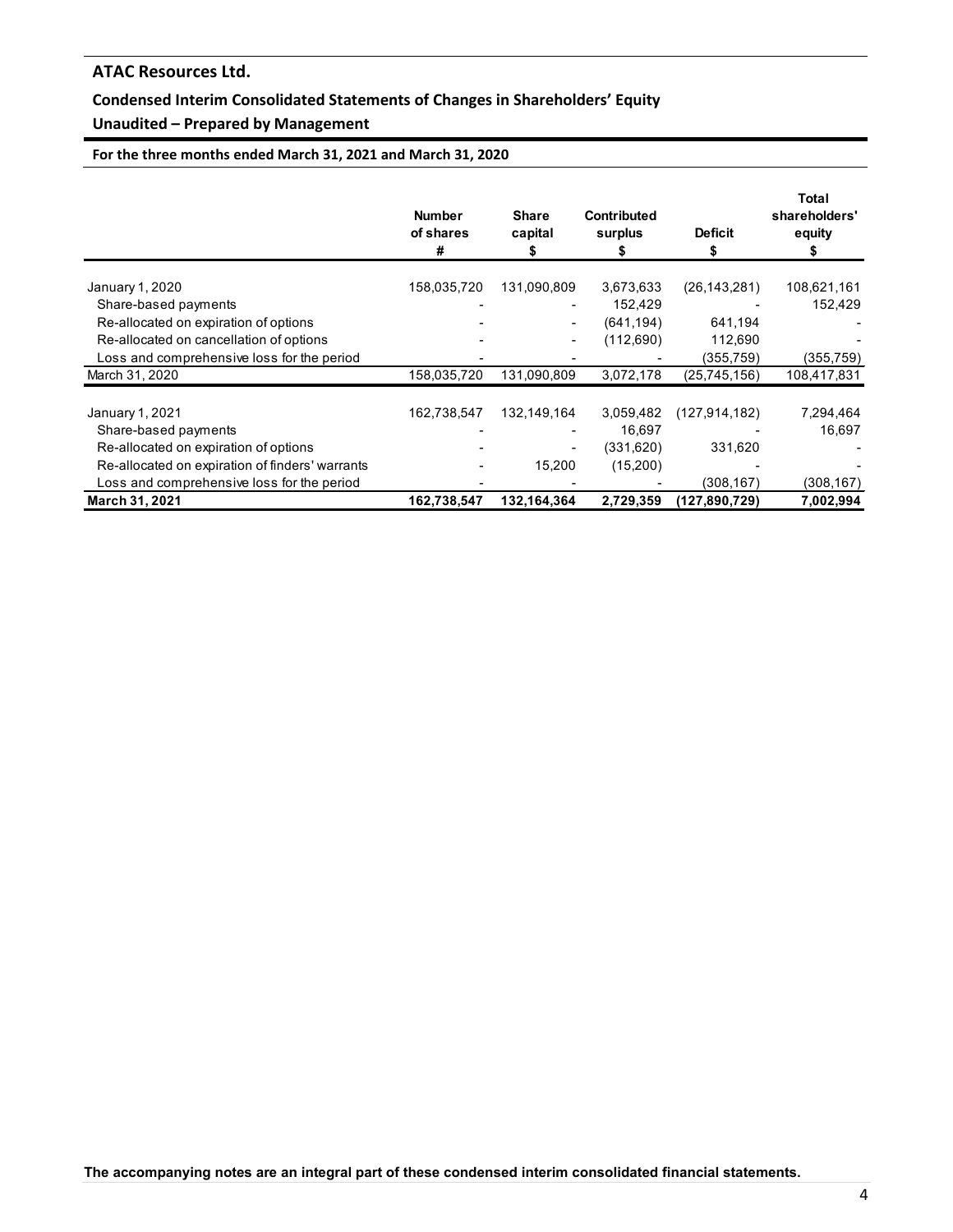### **Condensed Interim Consolidated Statements of Changes in Shareholders' Equity**

### **Unaudited – Prepared by Management**

**For the three months ended March 31, 2021 and March 31, 2020**

|                                                 | <b>Number</b><br>of shares<br># | <b>Share</b><br>capital | <b>Contributed</b><br>surplus | <b>Deficit</b>  | Total<br>shareholders'<br>equity |
|-------------------------------------------------|---------------------------------|-------------------------|-------------------------------|-----------------|----------------------------------|
| January 1, 2020                                 | 158,035,720                     | 131,090,809             | 3,673,633                     | (26, 143, 281)  | 108,621,161                      |
| Share-based payments                            |                                 |                         | 152,429                       |                 | 152,429                          |
| Re-allocated on expiration of options           |                                 |                         | (641, 194)                    | 641,194         |                                  |
| Re-allocated on cancellation of options         |                                 |                         | (112,690)                     | 112,690         |                                  |
| Loss and comprehensive loss for the period      |                                 |                         |                               | (355,759)       | (355,759)                        |
| March 31, 2020                                  | 158,035,720                     | 131,090,809             | 3,072,178                     | (25,745,156)    | 108,417,831                      |
| January 1, 2021                                 | 162,738,547                     | 132,149,164             | 3,059,482                     | (127, 914, 182) | 7,294,464                        |
| Share-based payments                            |                                 |                         | 16,697                        |                 | 16,697                           |
| Re-allocated on expiration of options           |                                 |                         | (331.620)                     | 331,620         |                                  |
| Re-allocated on expiration of finders' warrants |                                 | 15,200                  | (15,200)                      |                 |                                  |
| Loss and comprehensive loss for the period      |                                 |                         |                               | (308,167)       | (308, 167)                       |
| March 31, 2021                                  | 162,738,547                     | 132,164,364             | 2,729,359                     | (127, 890, 729) | 7,002,994                        |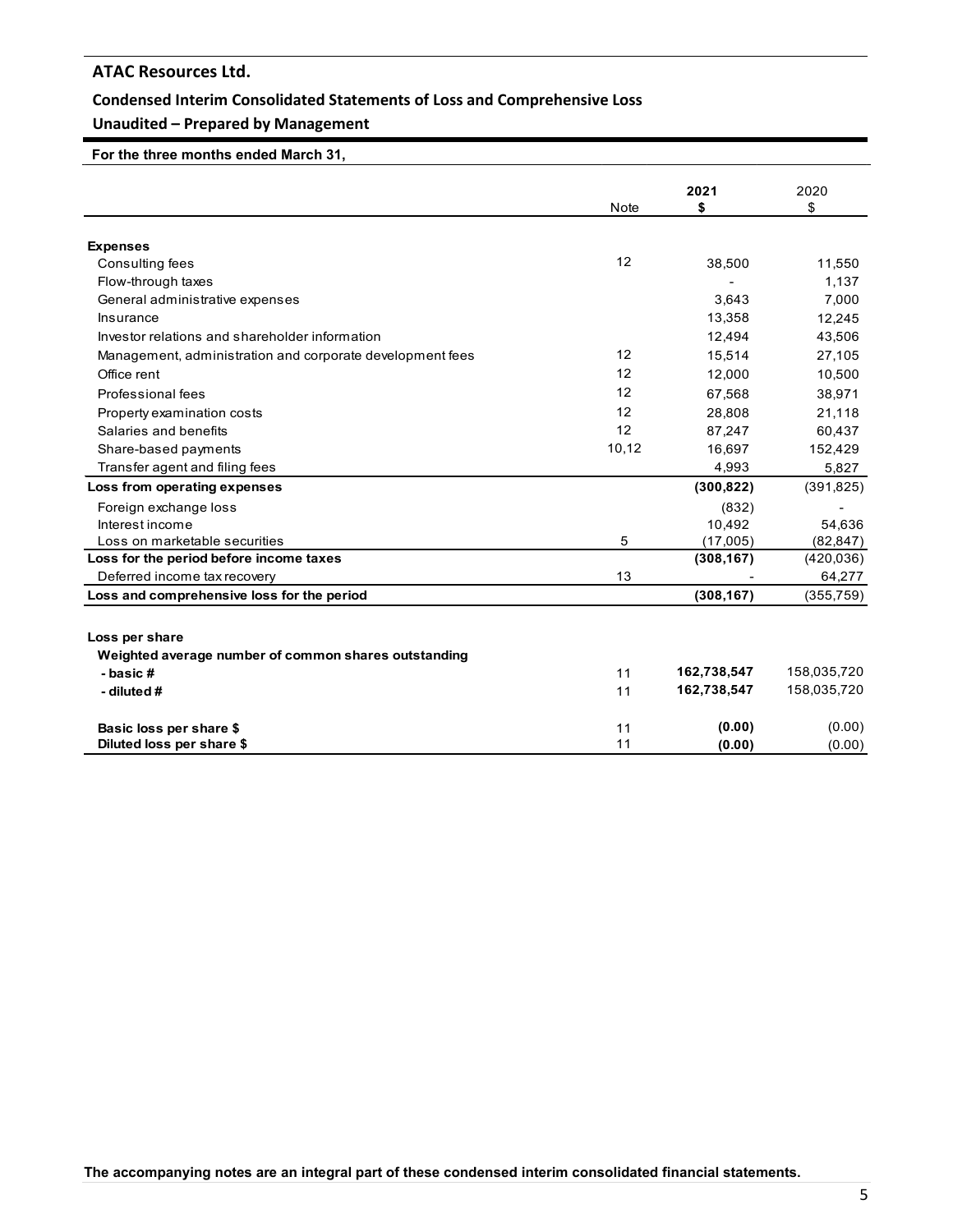### **Condensed Interim Consolidated Statements of Loss and Comprehensive Loss**

### **Unaudited – Prepared by Management**

 **For the three months ended March 31,** 

|                                                           |                   | 2021        | 2020        |
|-----------------------------------------------------------|-------------------|-------------|-------------|
|                                                           | <b>Note</b>       | \$          | \$          |
|                                                           |                   |             |             |
| <b>Expenses</b>                                           |                   |             |             |
| Consulting fees                                           | $12 \overline{ }$ | 38,500      | 11,550      |
| Flow-through taxes                                        |                   |             | 1,137       |
| General administrative expenses                           |                   | 3,643       | 7,000       |
| Insurance                                                 |                   | 13,358      | 12,245      |
| Investor relations and shareholder information            |                   | 12,494      | 43,506      |
| Management, administration and corporate development fees | $12 \overline{ }$ | 15,514      | 27,105      |
| Office rent                                               | 12                | 12,000      | 10,500      |
| Professional fees                                         | $12 \overline{ }$ | 67,568      | 38,971      |
| Property examination costs                                | 12                | 28,808      | 21,118      |
| Salaries and benefits                                     | 12                | 87.247      | 60,437      |
| Share-based payments                                      | 10,12             | 16,697      | 152,429     |
| Transfer agent and filing fees                            |                   | 4,993       | 5,827       |
| Loss from operating expenses                              |                   | (300, 822)  | (391, 825)  |
| Foreign exchange loss                                     |                   | (832)       |             |
| Interest income                                           |                   | 10,492      | 54,636      |
| Loss on marketable securities                             | 5                 | (17,005)    | (82, 847)   |
| Loss for the period before income taxes                   |                   | (308, 167)  | (420, 036)  |
| Deferred income tax recovery                              | 13                |             | 64,277      |
| Loss and comprehensive loss for the period                |                   | (308, 167)  | (355, 759)  |
|                                                           |                   |             |             |
| Loss per share                                            |                   |             |             |
| Weighted average number of common shares outstanding      |                   |             |             |
| - basic #                                                 | 11                | 162,738,547 | 158,035,720 |
| - diluted #                                               | 11                | 162,738,547 | 158,035,720 |
| Basic loss per share \$                                   | 11                | (0.00)      | (0.00)      |
| Diluted loss per share \$                                 | 11                | (0.00)      | (0.00)      |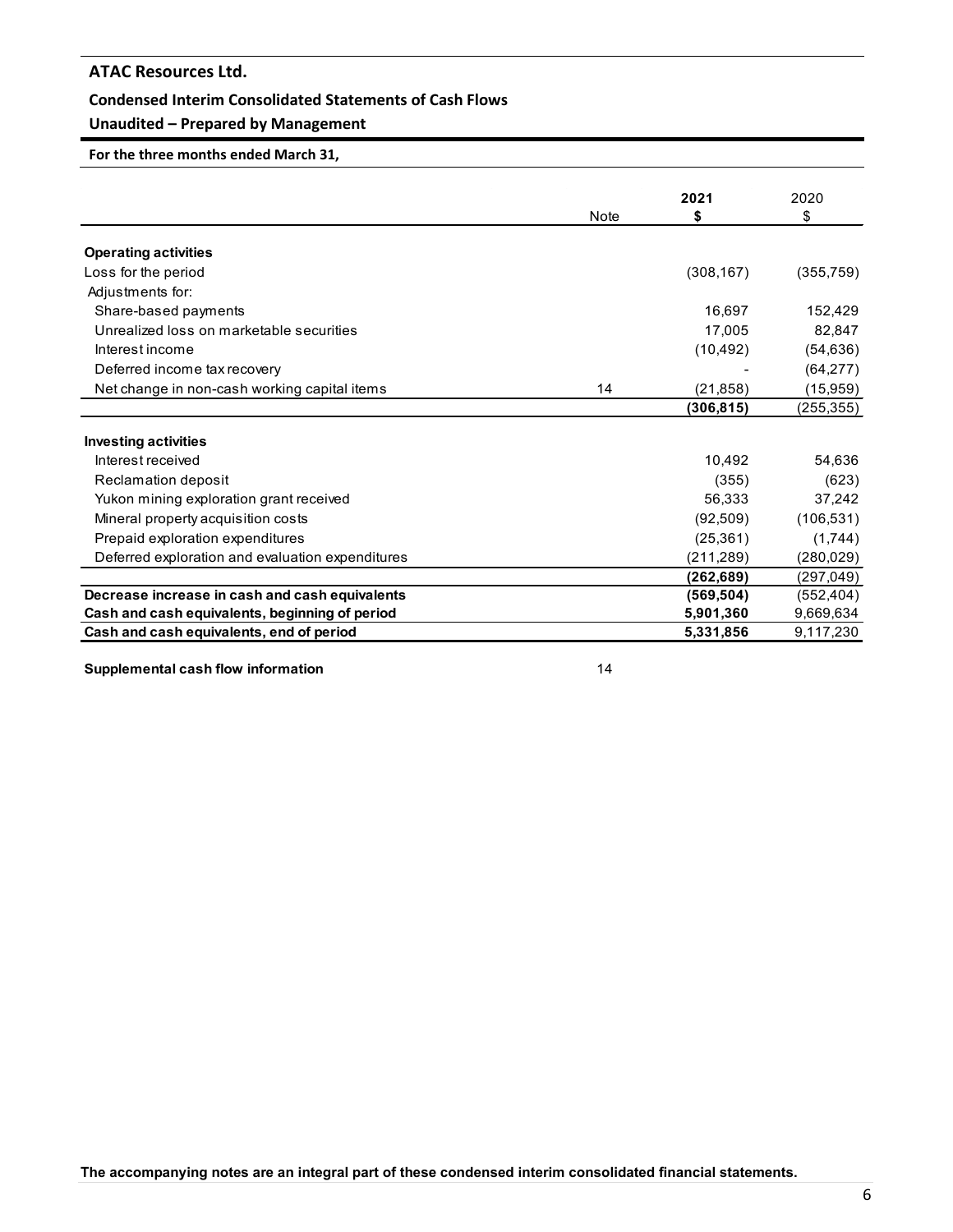#### **Condensed Interim Consolidated Statements of Cash Flows**

### **Unaudited – Prepared by Management**

**For the three months ended March 31,**

|                                                  |             | 2021       | 2020       |
|--------------------------------------------------|-------------|------------|------------|
|                                                  | <b>Note</b> | \$         | \$         |
| <b>Operating activities</b>                      |             |            |            |
| Loss for the period                              |             | (308, 167) | (355, 759) |
| Adjustments for:                                 |             |            |            |
| Share-based payments                             |             | 16,697     | 152,429    |
| Unrealized loss on marketable securities         |             | 17,005     |            |
|                                                  |             |            | 82,847     |
| Interest income                                  |             | (10, 492)  | (54, 636)  |
| Deferred income tax recovery                     |             |            | (64, 277)  |
| Net change in non-cash working capital items     | 14          | (21, 858)  | (15, 959)  |
|                                                  |             | (306, 815) | (255, 355) |
| <b>Investing activities</b>                      |             |            |            |
| Interest received                                |             | 10.492     | 54,636     |
| Reclamation deposit                              |             | (355)      | (623)      |
| Yukon mining exploration grant received          |             | 56,333     | 37,242     |
| Mineral property acquisition costs               |             | (92, 509)  | (106, 531) |
| Prepaid exploration expenditures                 |             | (25, 361)  | (1,744)    |
| Deferred exploration and evaluation expenditures |             | (211, 289) | (280, 029) |
|                                                  |             | (262, 689) | (297, 049) |
| Decrease increase in cash and cash equivalents   |             | (569, 504) | (552, 404) |
| Cash and cash equivalents, beginning of period   |             | 5,901,360  | 9,669,634  |
| Cash and cash equivalents, end of period         |             | 5,331,856  | 9,117,230  |

**Supplemental cash flow information** 14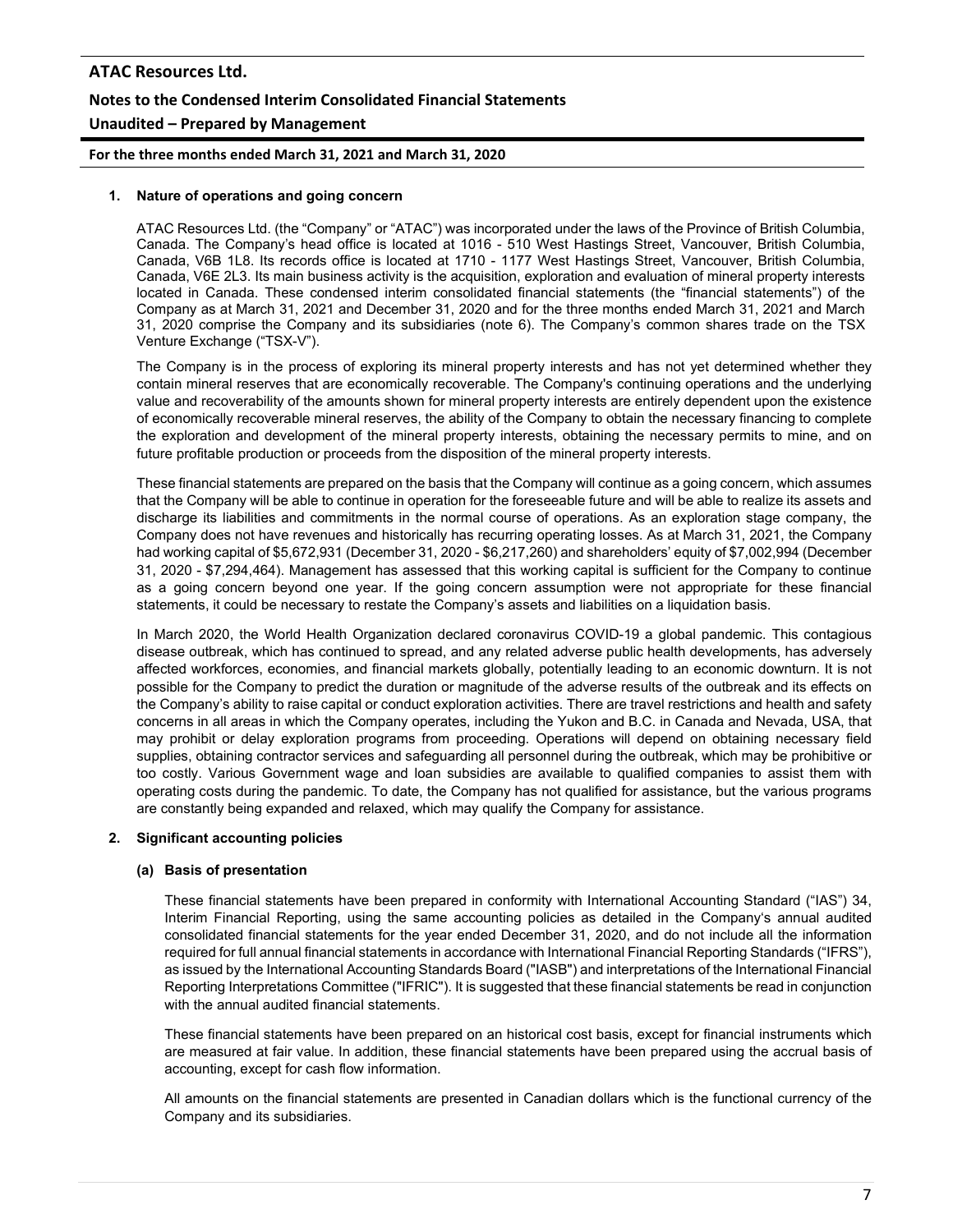**For the three months ended March 31, 2021 and March 31, 2020**

#### **1. Nature of operations and going concern**

ATAC Resources Ltd. (the "Company" or "ATAC") was incorporated under the laws of the Province of British Columbia, Canada. The Company's head office is located at 1016 - 510 West Hastings Street, Vancouver, British Columbia, Canada, V6B 1L8. Its records office is located at 1710 - 1177 West Hastings Street, Vancouver, British Columbia, Canada, V6E 2L3. Its main business activity is the acquisition, exploration and evaluation of mineral property interests located in Canada. These condensed interim consolidated financial statements (the "financial statements") of the Company as at March 31, 2021 and December 31, 2020 and for the three months ended March 31, 2021 and March 31, 2020 comprise the Company and its subsidiaries (note 6). The Company's common shares trade on the TSX Venture Exchange ("TSX-V").

The Company is in the process of exploring its mineral property interests and has not yet determined whether they contain mineral reserves that are economically recoverable. The Company's continuing operations and the underlying value and recoverability of the amounts shown for mineral property interests are entirely dependent upon the existence of economically recoverable mineral reserves, the ability of the Company to obtain the necessary financing to complete the exploration and development of the mineral property interests, obtaining the necessary permits to mine, and on future profitable production or proceeds from the disposition of the mineral property interests.

These financial statements are prepared on the basis that the Company will continue as a going concern, which assumes that the Company will be able to continue in operation for the foreseeable future and will be able to realize its assets and discharge its liabilities and commitments in the normal course of operations. As an exploration stage company, the Company does not have revenues and historically has recurring operating losses. As at March 31, 2021, the Company had working capital of \$5,672,931 (December 31, 2020 - \$6,217,260) and shareholders' equity of \$7,002,994 (December 31, 2020 - \$7,294,464). Management has assessed that this working capital is sufficient for the Company to continue as a going concern beyond one year. If the going concern assumption were not appropriate for these financial statements, it could be necessary to restate the Company's assets and liabilities on a liquidation basis.

In March 2020, the World Health Organization declared coronavirus COVID-19 a global pandemic. This contagious disease outbreak, which has continued to spread, and any related adverse public health developments, has adversely affected workforces, economies, and financial markets globally, potentially leading to an economic downturn. It is not possible for the Company to predict the duration or magnitude of the adverse results of the outbreak and its effects on the Company's ability to raise capital or conduct exploration activities. There are travel restrictions and health and safety concerns in all areas in which the Company operates, including the Yukon and B.C. in Canada and Nevada, USA, that may prohibit or delay exploration programs from proceeding. Operations will depend on obtaining necessary field supplies, obtaining contractor services and safeguarding all personnel during the outbreak, which may be prohibitive or too costly. Various Government wage and loan subsidies are available to qualified companies to assist them with operating costs during the pandemic. To date, the Company has not qualified for assistance, but the various programs are constantly being expanded and relaxed, which may qualify the Company for assistance.

#### **2. Significant accounting policies**

#### **(a) Basis of presentation**

These financial statements have been prepared in conformity with International Accounting Standard ("IAS") 34, Interim Financial Reporting, using the same accounting policies as detailed in the Company's annual audited consolidated financial statements for the year ended December 31, 2020, and do not include all the information required for full annual financial statements in accordance with International Financial Reporting Standards ("IFRS"), as issued by the International Accounting Standards Board ("IASB") and interpretations of the International Financial Reporting Interpretations Committee ("IFRIC"). It is suggested that these financial statements be read in conjunction with the annual audited financial statements.

These financial statements have been prepared on an historical cost basis, except for financial instruments which are measured at fair value. In addition, these financial statements have been prepared using the accrual basis of accounting, except for cash flow information.

All amounts on the financial statements are presented in Canadian dollars which is the functional currency of the Company and its subsidiaries.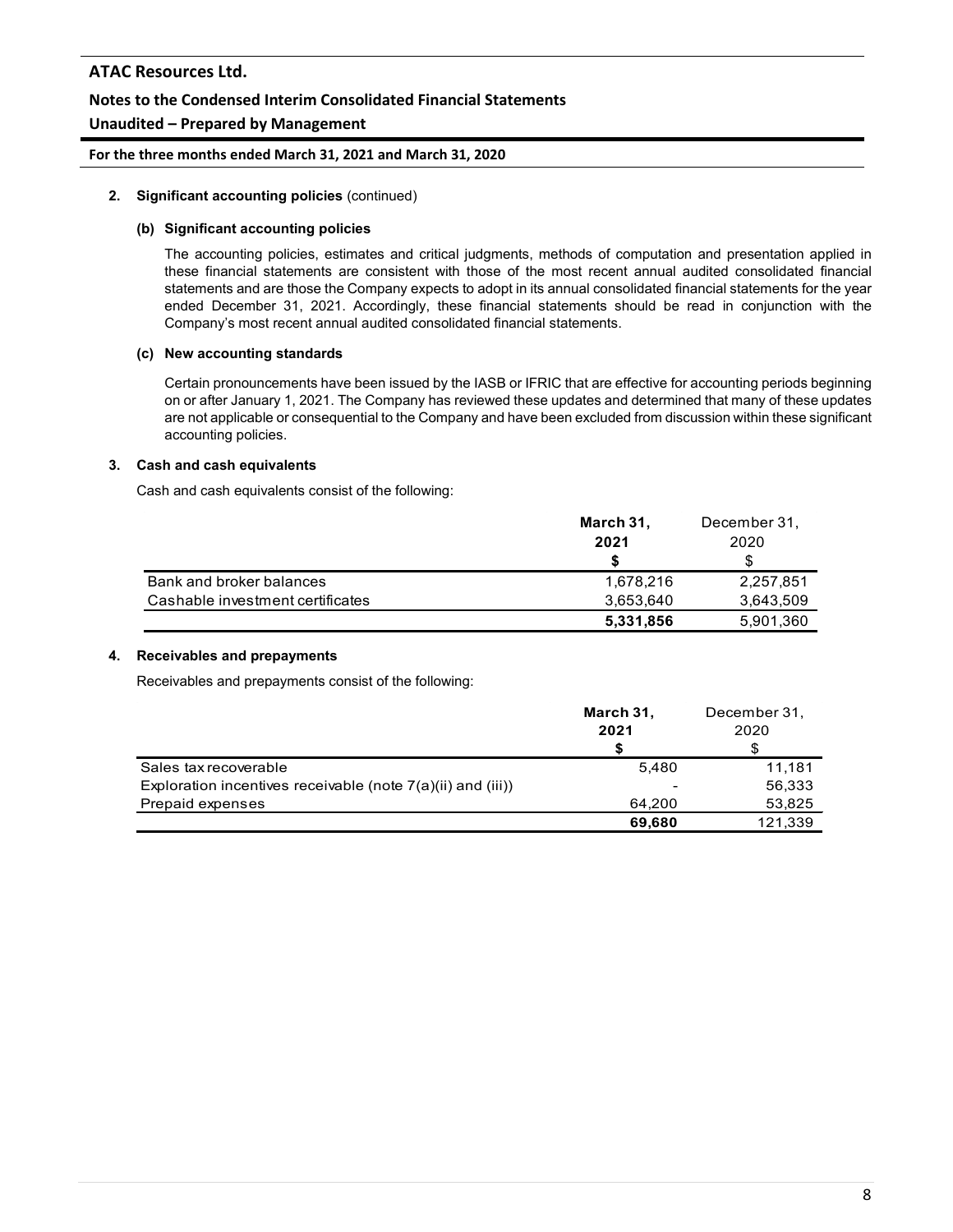# **ATAC Resources Ltd. Notes to the Condensed Interim Consolidated Financial Statements**

# **Unaudited – Prepared by Management**

**For the three months ended March 31, 2021 and March 31, 2020**

#### **2. Significant accounting policies** (continued)

#### **(b) Significant accounting policies**

The accounting policies, estimates and critical judgments, methods of computation and presentation applied in these financial statements are consistent with those of the most recent annual audited consolidated financial statements and are those the Company expects to adopt in its annual consolidated financial statements for the year ended December 31, 2021. Accordingly, these financial statements should be read in conjunction with the Company's most recent annual audited consolidated financial statements.

#### **(c) New accounting standards**

Certain pronouncements have been issued by the IASB or IFRIC that are effective for accounting periods beginning on or after January 1, 2021. The Company has reviewed these updates and determined that many of these updates are not applicable or consequential to the Company and have been excluded from discussion within these significant accounting policies.

#### **3. Cash and cash equivalents**

Cash and cash equivalents consist of the following:

|                                  | March 31, | December 31. |
|----------------------------------|-----------|--------------|
|                                  | 2021      | 2020         |
|                                  |           | S            |
| Bank and broker balances         | 1,678,216 | 2,257,851    |
| Cashable investment certificates | 3,653,640 | 3,643,509    |
|                                  | 5,331,856 | 5,901,360    |

#### **4. Receivables and prepayments**

Receivables and prepayments consist of the following:

|                                                               | March 31,<br>2021<br>S   | December 31,<br>2020 |
|---------------------------------------------------------------|--------------------------|----------------------|
| Sales tax recoverable                                         | 5.480                    | 11.181               |
| Exploration incentives receivable (note $7(a)(ii)$ and (iii)) | $\overline{\phantom{0}}$ | 56,333               |
| Prepaid expenses                                              | 64.200                   | 53,825               |
|                                                               | 69,680                   | 121,339              |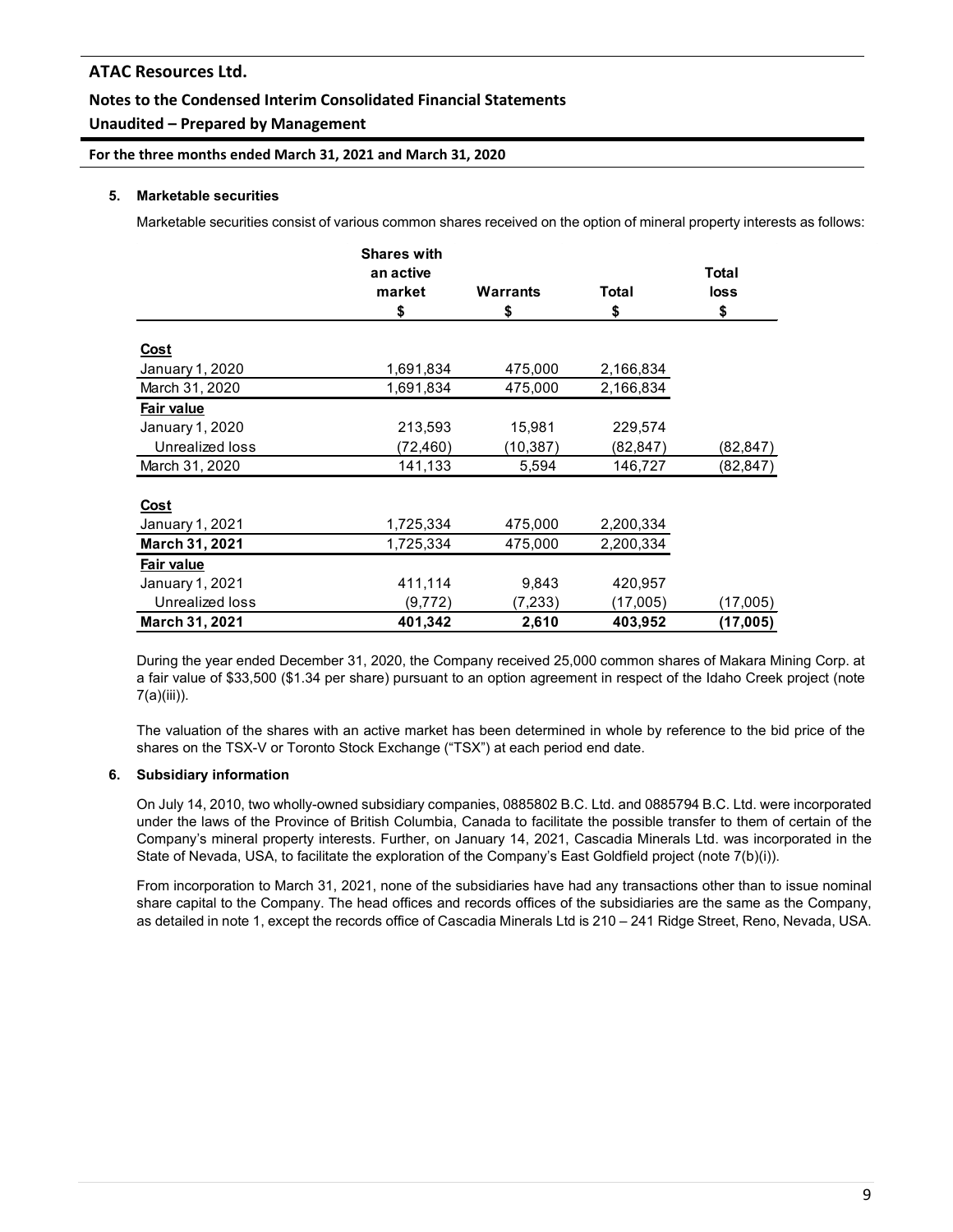### **Notes to the Condensed Interim Consolidated Financial Statements**

### **Unaudited – Prepared by Management**

**For the three months ended March 31, 2021 and March 31, 2020**

#### **5. Marketable securities**

Marketable securities consist of various common shares received on the option of mineral property interests as follows:

|                 | <b>Shares with</b> |           |           |           |
|-----------------|--------------------|-----------|-----------|-----------|
|                 | an active          |           |           | Total     |
|                 | market             | Warrants  | Total     | loss      |
|                 | \$                 | \$        | \$        | \$        |
| <u>Cost</u>     |                    |           |           |           |
| January 1, 2020 | 1,691,834          | 475,000   | 2,166,834 |           |
| March 31, 2020  | 1,691,834          | 475,000   | 2,166,834 |           |
| Fair value      |                    |           |           |           |
| January 1, 2020 | 213,593            | 15,981    | 229,574   |           |
| Unrealized loss | (72,460)           | (10, 387) | (82,847)  | (82,847)  |
| March 31, 2020  | 141,133            | 5,594     | 146,727   | (82, 847) |
|                 |                    |           |           |           |
| <b>Cost</b>     |                    |           |           |           |
| January 1, 2021 | 1,725,334          | 475,000   | 2,200,334 |           |
| March 31, 2021  | 1,725,334          | 475,000   | 2,200,334 |           |
| Fair value      |                    |           |           |           |
| January 1, 2021 | 411,114            | 9,843     | 420,957   |           |
| Unrealized loss | (9,772)            | (7,233)   | (17,005)  | (17,005)  |
| March 31, 2021  | 401,342            | 2,610     | 403,952   | (17,005)  |

During the year ended December 31, 2020, the Company received 25,000 common shares of Makara Mining Corp. at a fair value of \$33,500 (\$1.34 per share) pursuant to an option agreement in respect of the Idaho Creek project (note 7(a)(iii)).

The valuation of the shares with an active market has been determined in whole by reference to the bid price of the shares on the TSX-V or Toronto Stock Exchange ("TSX") at each period end date.

#### **6. Subsidiary information**

On July 14, 2010, two wholly-owned subsidiary companies, 0885802 B.C. Ltd. and 0885794 B.C. Ltd. were incorporated under the laws of the Province of British Columbia, Canada to facilitate the possible transfer to them of certain of the Company's mineral property interests. Further, on January 14, 2021, Cascadia Minerals Ltd. was incorporated in the State of Nevada, USA, to facilitate the exploration of the Company's East Goldfield project (note 7(b)(i)).

From incorporation to March 31, 2021, none of the subsidiaries have had any transactions other than to issue nominal share capital to the Company. The head offices and records offices of the subsidiaries are the same as the Company, as detailed in note 1, except the records office of Cascadia Minerals Ltd is 210 – 241 Ridge Street, Reno, Nevada, USA.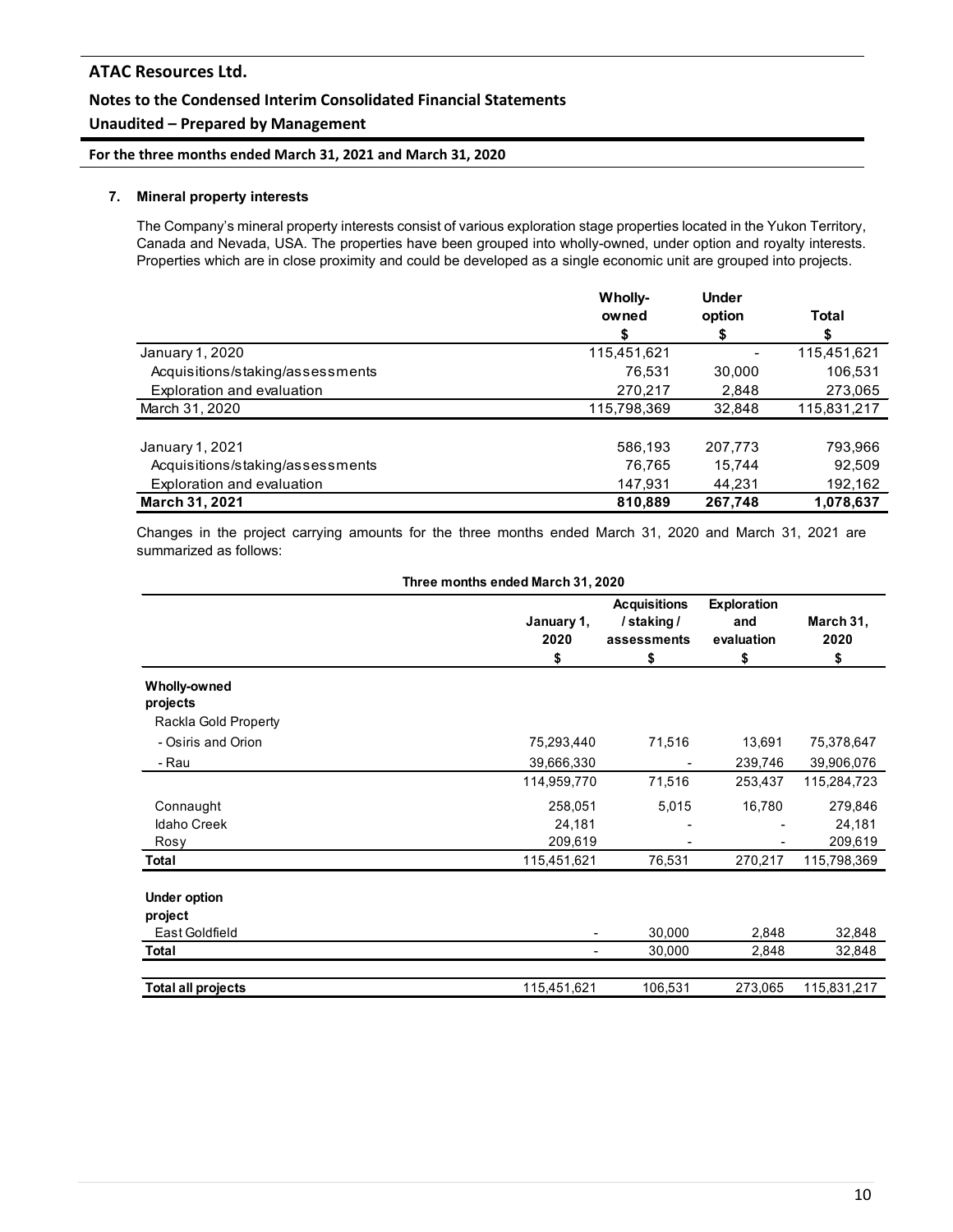# **ATAC Resources Ltd. Notes to the Condensed Interim Consolidated Financial Statements**

# **Unaudited – Prepared by Management**

**For the three months ended March 31, 2021 and March 31, 2020**

#### **7. Mineral property interests**

The Company's mineral property interests consist of various exploration stage properties located in the Yukon Territory, Canada and Nevada, USA. The properties have been grouped into wholly-owned, under option and royalty interests. Properties which are in close proximity and could be developed as a single economic unit are grouped into projects.

|                                  | Wholly-     | <b>Under</b> |             |
|----------------------------------|-------------|--------------|-------------|
|                                  | owned       | option       | Total       |
|                                  | S           | S            |             |
| January 1, 2020                  | 115,451,621 |              | 115,451,621 |
| Acquisitions/staking/assessments | 76.531      | 30,000       | 106,531     |
| Exploration and evaluation       | 270,217     | 2,848        | 273,065     |
| March 31, 2020                   | 115,798,369 | 32.848       | 115,831,217 |
| January 1, 2021                  | 586,193     | 207.773      | 793,966     |
| Acquisitions/staking/assessments | 76.765      | 15.744       | 92,509      |
| Exploration and evaluation       | 147,931     | 44.231       | 192,162     |
| <b>March 31, 2021</b>            | 810.889     | 267.748      | 1,078,637   |

Changes in the project carrying amounts for the three months ended March 31, 2020 and March 31, 2021 are summarized as follows:

|                                 | Three months ended March 31, 2020 |                                                       |                                        |                         |
|---------------------------------|-----------------------------------|-------------------------------------------------------|----------------------------------------|-------------------------|
|                                 | January 1,<br>2020<br>\$          | <b>Acquisitions</b><br>/staking/<br>assessments<br>\$ | Exploration<br>and<br>evaluation<br>\$ | March 31,<br>2020<br>\$ |
| <b>Wholly-owned</b><br>projects |                                   |                                                       |                                        |                         |
| Rackla Gold Property            |                                   |                                                       |                                        |                         |
| - Osiris and Orion              | 75,293,440                        | 71,516                                                | 13,691                                 | 75,378,647              |
| - Rau                           | 39,666,330                        |                                                       | 239,746                                | 39,906,076              |
|                                 | 114,959,770                       | 71,516                                                | 253,437                                | 115,284,723             |
| Connaught                       | 258,051                           | 5,015                                                 | 16,780                                 | 279,846                 |
| <b>Idaho Creek</b>              | 24,181                            |                                                       |                                        | 24,181                  |
| Rosy                            | 209,619                           |                                                       |                                        | 209,619                 |
| Total                           | 115,451,621                       | 76,531                                                | 270,217                                | 115,798,369             |
| <b>Under option</b>             |                                   |                                                       |                                        |                         |
| project                         |                                   |                                                       |                                        |                         |
| East Goldfield                  |                                   | 30,000                                                | 2,848                                  | 32,848                  |
| Total                           |                                   | 30,000                                                | 2,848                                  | 32,848                  |
| <b>Total all projects</b>       | 115,451,621                       | 106,531                                               | 273,065                                | 115,831,217             |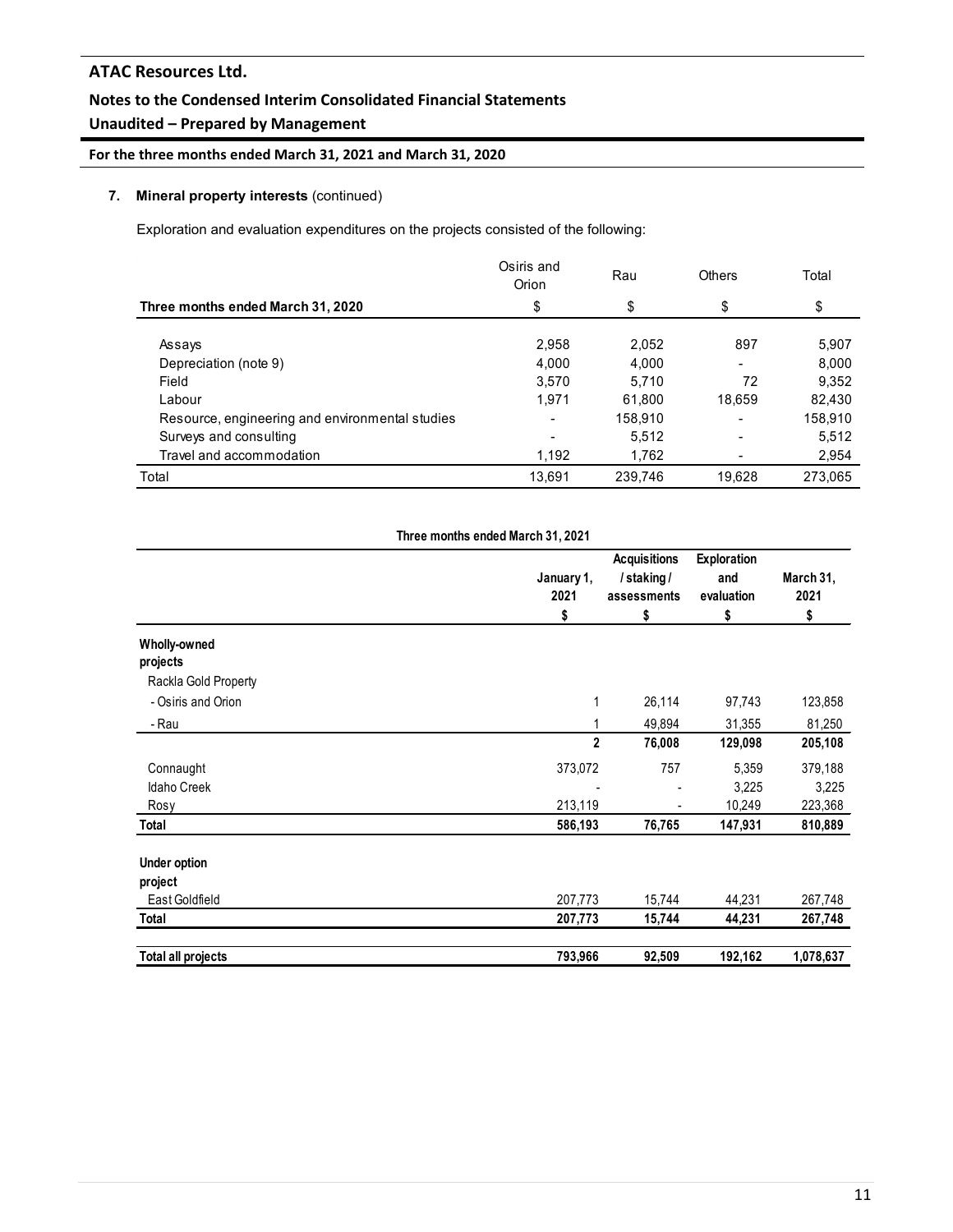### **Unaudited – Prepared by Management**

**For the three months ended March 31, 2021 and March 31, 2020**

### **7. Mineral property interests** (continued)

Exploration and evaluation expenditures on the projects consisted of the following:

|                                                 | Osiris and<br>Orion | Rau     | Others                   | Total   |
|-------------------------------------------------|---------------------|---------|--------------------------|---------|
| Three months ended March 31, 2020               | \$                  | \$      | \$                       | \$      |
| Assays                                          | 2,958               | 2,052   | 897                      | 5,907   |
| Depreciation (note 9)                           | 4.000               | 4.000   | $\overline{\phantom{0}}$ | 8.000   |
| Field                                           | 3.570               | 5.710   | 72                       | 9.352   |
| Labour                                          | 1.971               | 61.800  | 18.659                   | 82,430  |
| Resource, engineering and environmental studies |                     | 158,910 | $\overline{\phantom{0}}$ | 158,910 |
| Surveys and consulting                          |                     | 5.512   | $\blacksquare$           | 5,512   |
| Travel and accommodation                        | 1,192               | 1,762   |                          | 2,954   |
| Total                                           | 13,691              | 239.746 | 19.628                   | 273,065 |

|                           | Three months ended March 31, 2021 |                                                       |         |                         |
|---------------------------|-----------------------------------|-------------------------------------------------------|---------|-------------------------|
|                           | January 1,<br>2021<br>\$          | <b>Acquisitions</b><br>/staking/<br>assessments<br>\$ |         | March 31,<br>2021<br>\$ |
| Wholly-owned              |                                   |                                                       | \$      |                         |
| projects                  |                                   |                                                       |         |                         |
| Rackla Gold Property      |                                   |                                                       |         |                         |
| - Osiris and Orion        | 1                                 | 26,114                                                | 97,743  | 123,858                 |
| - Rau                     | 1                                 | 49,894                                                | 31,355  | 81,250                  |
|                           | $\overline{2}$                    | 76,008                                                | 129,098 | 205,108                 |
| Connaught                 | 373,072                           | 757                                                   | 5,359   | 379,188                 |
| <b>Idaho Creek</b>        |                                   |                                                       | 3,225   | 3,225                   |
| Rosy                      | 213,119                           |                                                       | 10,249  | 223,368                 |
| Total                     | 586,193                           | 76,765                                                | 147,931 | 810,889                 |
| <b>Under option</b>       |                                   |                                                       |         |                         |
| project                   |                                   |                                                       |         |                         |
| East Goldfield            | 207,773                           | 15,744                                                | 44,231  | 267,748                 |
| Total                     | 207,773                           | 15,744                                                | 44,231  | 267,748                 |
| <b>Total all projects</b> | 793,966                           | 92,509                                                | 192,162 | 1,078,637               |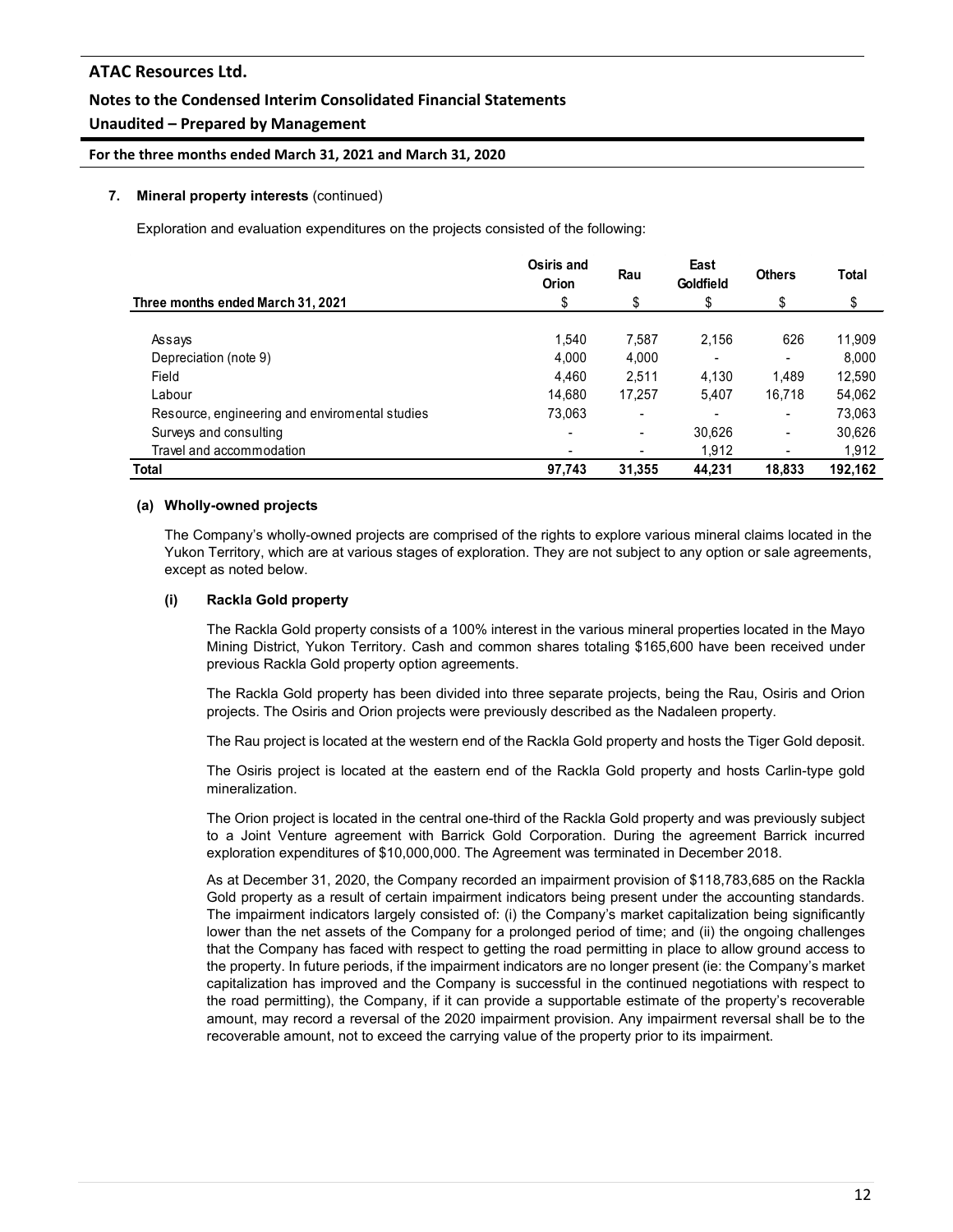### **Unaudited – Prepared by Management**

**For the three months ended March 31, 2021 and March 31, 2020**

#### **7. Mineral property interests** (continued)

Exploration and evaluation expenditures on the projects consisted of the following:

|                                                | Osiris and<br><b>Orion</b> | Rau                      | East<br><b>Goldfield</b> | <b>Others</b>            | Total   |
|------------------------------------------------|----------------------------|--------------------------|--------------------------|--------------------------|---------|
| Three months ended March 31, 2021              | \$                         | \$                       | \$                       | \$                       | \$      |
| Assays                                         | 1.540                      | 7,587                    | 2.156                    | 626                      | 11,909  |
| Depreciation (note 9)                          | 4.000                      | 4,000                    |                          |                          | 8.000   |
| Field                                          | 4.460                      | 2,511                    | 4.130                    | 1.489                    | 12,590  |
| Labour                                         | 14.680                     | 17,257                   | 5,407                    | 16,718                   | 54,062  |
| Resource, engineering and enviromental studies | 73,063                     | $\overline{\phantom{0}}$ |                          | $\overline{\phantom{0}}$ | 73,063  |
| Surveys and consulting                         | -                          | $\blacksquare$           | 30,626                   | $\blacksquare$           | 30,626  |
| Travel and accommodation                       | -                          |                          | 1,912                    |                          | 1,912   |
| <b>Total</b>                                   | 97,743                     | 31,355                   | 44.231                   | 18.833                   | 192,162 |

#### **(a) Wholly-owned projects**

The Company's wholly-owned projects are comprised of the rights to explore various mineral claims located in the Yukon Territory, which are at various stages of exploration. They are not subject to any option or sale agreements, except as noted below.

#### **(i) Rackla Gold property**

The Rackla Gold property consists of a 100% interest in the various mineral properties located in the Mayo Mining District, Yukon Territory. Cash and common shares totaling \$165,600 have been received under previous Rackla Gold property option agreements.

The Rackla Gold property has been divided into three separate projects, being the Rau, Osiris and Orion projects. The Osiris and Orion projects were previously described as the Nadaleen property.

The Rau project is located at the western end of the Rackla Gold property and hosts the Tiger Gold deposit.

The Osiris project is located at the eastern end of the Rackla Gold property and hosts Carlin-type gold mineralization.

The Orion project is located in the central one-third of the Rackla Gold property and was previously subject to a Joint Venture agreement with Barrick Gold Corporation. During the agreement Barrick incurred exploration expenditures of \$10,000,000. The Agreement was terminated in December 2018.

As at December 31, 2020, the Company recorded an impairment provision of \$118,783,685 on the Rackla Gold property as a result of certain impairment indicators being present under the accounting standards. The impairment indicators largely consisted of: (i) the Company's market capitalization being significantly lower than the net assets of the Company for a prolonged period of time; and (ii) the ongoing challenges that the Company has faced with respect to getting the road permitting in place to allow ground access to the property. In future periods, if the impairment indicators are no longer present (ie: the Company's market capitalization has improved and the Company is successful in the continued negotiations with respect to the road permitting), the Company, if it can provide a supportable estimate of the property's recoverable amount, may record a reversal of the 2020 impairment provision. Any impairment reversal shall be to the recoverable amount, not to exceed the carrying value of the property prior to its impairment.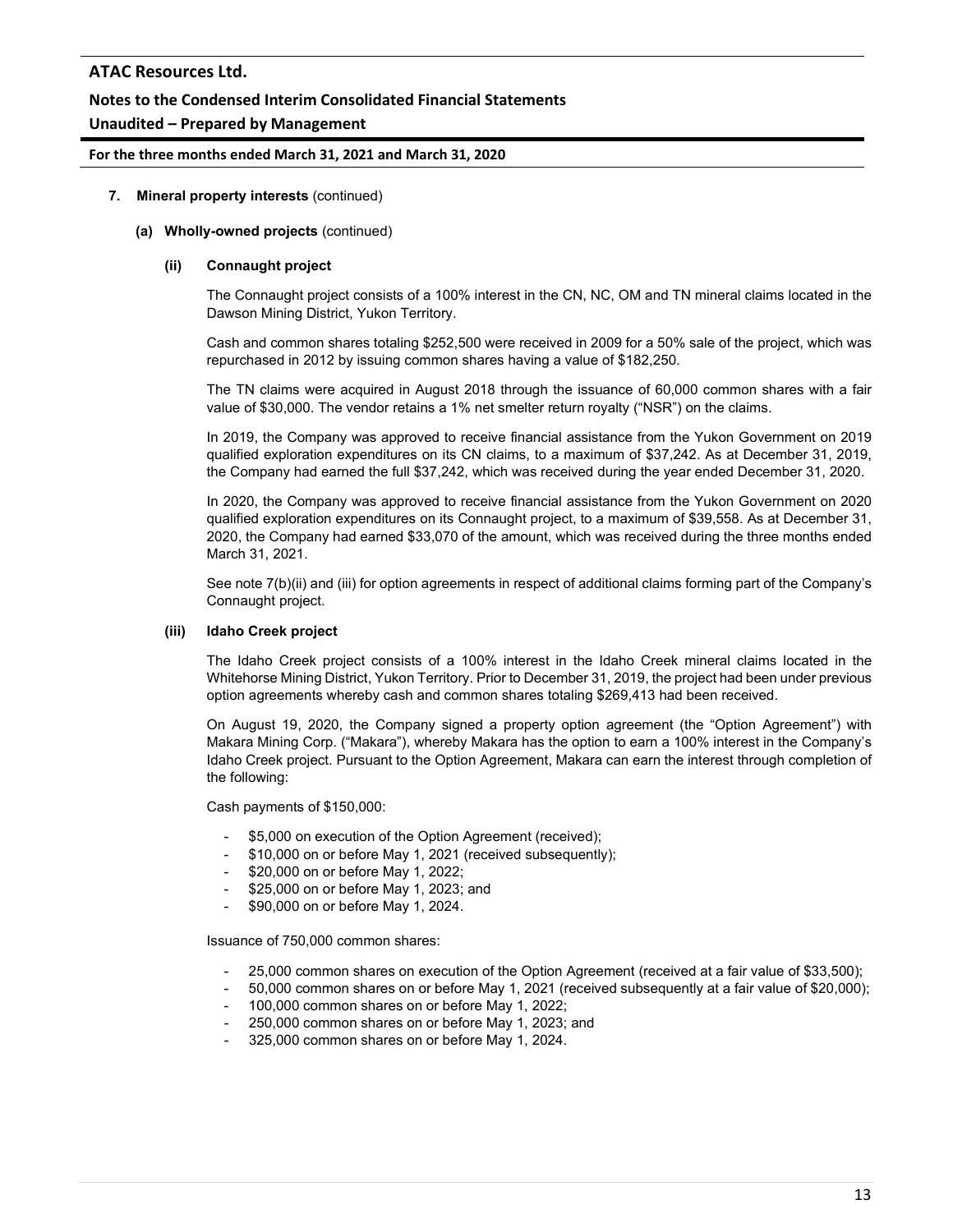### **Notes to the Condensed Interim Consolidated Financial Statements**

### **Unaudited – Prepared by Management**

#### **For the three months ended March 31, 2021 and March 31, 2020**

#### **7. Mineral property interests** (continued)

#### **(a) Wholly-owned projects** (continued)

#### **(ii) Connaught project**

The Connaught project consists of a 100% interest in the CN, NC, OM and TN mineral claims located in the Dawson Mining District, Yukon Territory.

Cash and common shares totaling \$252,500 were received in 2009 for a 50% sale of the project, which was repurchased in 2012 by issuing common shares having a value of \$182,250.

The TN claims were acquired in August 2018 through the issuance of 60,000 common shares with a fair value of \$30,000. The vendor retains a 1% net smelter return royalty ("NSR") on the claims.

In 2019, the Company was approved to receive financial assistance from the Yukon Government on 2019 qualified exploration expenditures on its CN claims, to a maximum of \$37,242. As at December 31, 2019, the Company had earned the full \$37,242, which was received during the year ended December 31, 2020.

In 2020, the Company was approved to receive financial assistance from the Yukon Government on 2020 qualified exploration expenditures on its Connaught project, to a maximum of \$39,558. As at December 31, 2020, the Company had earned \$33,070 of the amount, which was received during the three months ended March 31, 2021.

See note 7(b)(ii) and (iii) for option agreements in respect of additional claims forming part of the Company's Connaught project.

#### **(iii) Idaho Creek project**

The Idaho Creek project consists of a 100% interest in the Idaho Creek mineral claims located in the Whitehorse Mining District, Yukon Territory. Prior to December 31, 2019, the project had been under previous option agreements whereby cash and common shares totaling \$269,413 had been received.

On August 19, 2020, the Company signed a property option agreement (the "Option Agreement") with Makara Mining Corp. ("Makara"), whereby Makara has the option to earn a 100% interest in the Company's Idaho Creek project. Pursuant to the Option Agreement, Makara can earn the interest through completion of the following:

Cash payments of \$150,000:

- \$5,000 on execution of the Option Agreement (received);
- \$10,000 on or before May 1, 2021 (received subsequently);
- \$20,000 on or before May 1, 2022;
- \$25,000 on or before May 1, 2023; and
- \$90,000 on or before May 1, 2024.

Issuance of 750,000 common shares:

- 25,000 common shares on execution of the Option Agreement (received at a fair value of \$33,500);
- 50,000 common shares on or before May 1, 2021 (received subsequently at a fair value of \$20,000);
- 100,000 common shares on or before May 1, 2022;
- 250,000 common shares on or before May 1, 2023; and
- 325,000 common shares on or before May 1, 2024.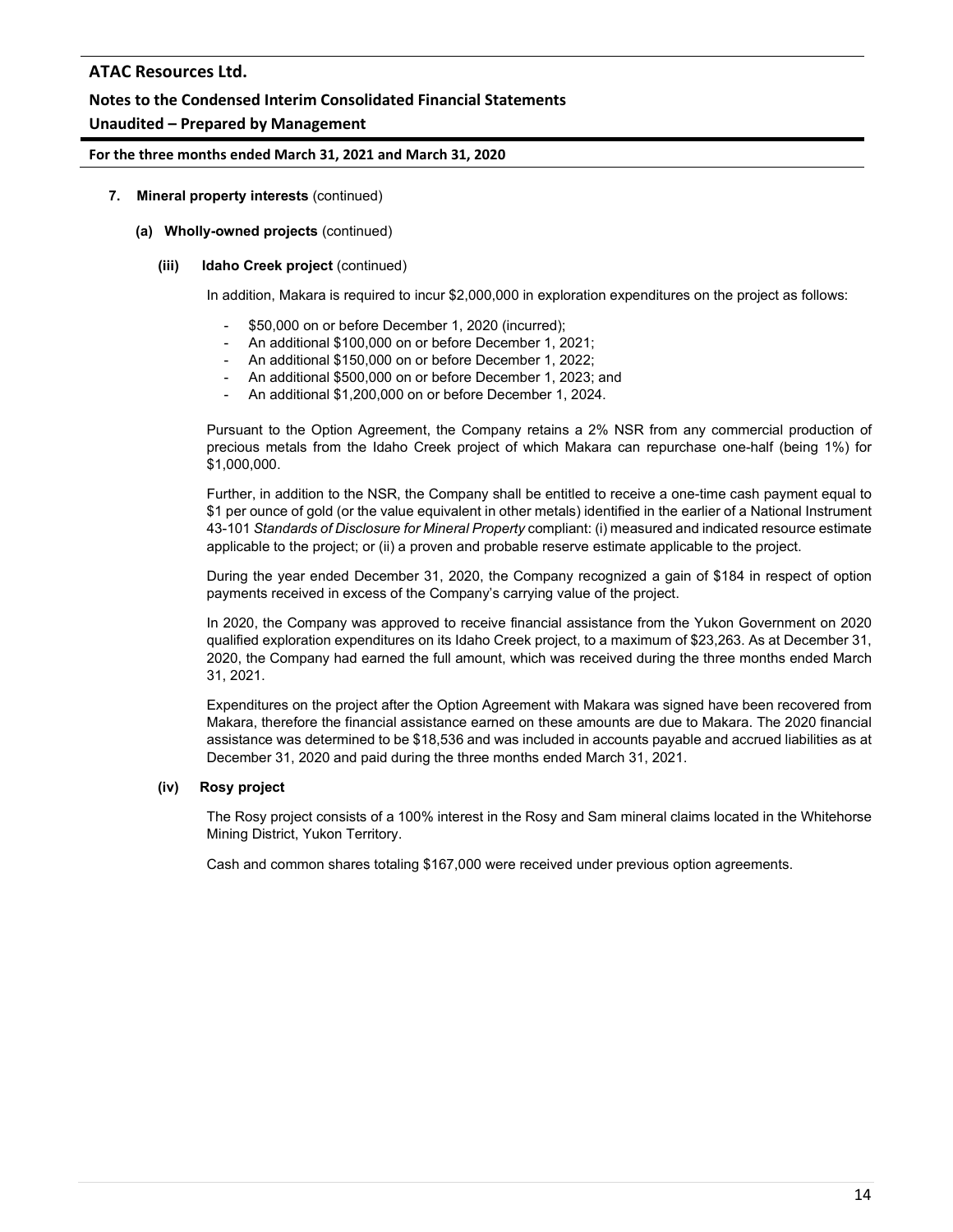### **Notes to the Condensed Interim Consolidated Financial Statements**

### **Unaudited – Prepared by Management**

#### **For the three months ended March 31, 2021 and March 31, 2020**

#### **7. Mineral property interests** (continued)

#### **(a) Wholly-owned projects** (continued)

#### **(iii) Idaho Creek project** (continued)

In addition, Makara is required to incur \$2,000,000 in exploration expenditures on the project as follows:

- \$50,000 on or before December 1, 2020 (incurred);
- An additional \$100,000 on or before December 1, 2021;
- An additional \$150,000 on or before December 1, 2022;
- An additional \$500,000 on or before December 1, 2023; and
- An additional \$1,200,000 on or before December 1, 2024.

Pursuant to the Option Agreement, the Company retains a 2% NSR from any commercial production of precious metals from the Idaho Creek project of which Makara can repurchase one-half (being 1%) for \$1,000,000.

Further, in addition to the NSR, the Company shall be entitled to receive a one-time cash payment equal to \$1 per ounce of gold (or the value equivalent in other metals) identified in the earlier of a National Instrument 43-101 *Standards of Disclosure for Mineral Property* compliant: (i) measured and indicated resource estimate applicable to the project; or (ii) a proven and probable reserve estimate applicable to the project.

During the year ended December 31, 2020, the Company recognized a gain of \$184 in respect of option payments received in excess of the Company's carrying value of the project.

In 2020, the Company was approved to receive financial assistance from the Yukon Government on 2020 qualified exploration expenditures on its Idaho Creek project, to a maximum of \$23,263. As at December 31, 2020, the Company had earned the full amount, which was received during the three months ended March 31, 2021.

Expenditures on the project after the Option Agreement with Makara was signed have been recovered from Makara, therefore the financial assistance earned on these amounts are due to Makara. The 2020 financial assistance was determined to be \$18,536 and was included in accounts payable and accrued liabilities as at December 31, 2020 and paid during the three months ended March 31, 2021.

#### **(iv) Rosy project**

The Rosy project consists of a 100% interest in the Rosy and Sam mineral claims located in the Whitehorse Mining District, Yukon Territory.

Cash and common shares totaling \$167,000 were received under previous option agreements.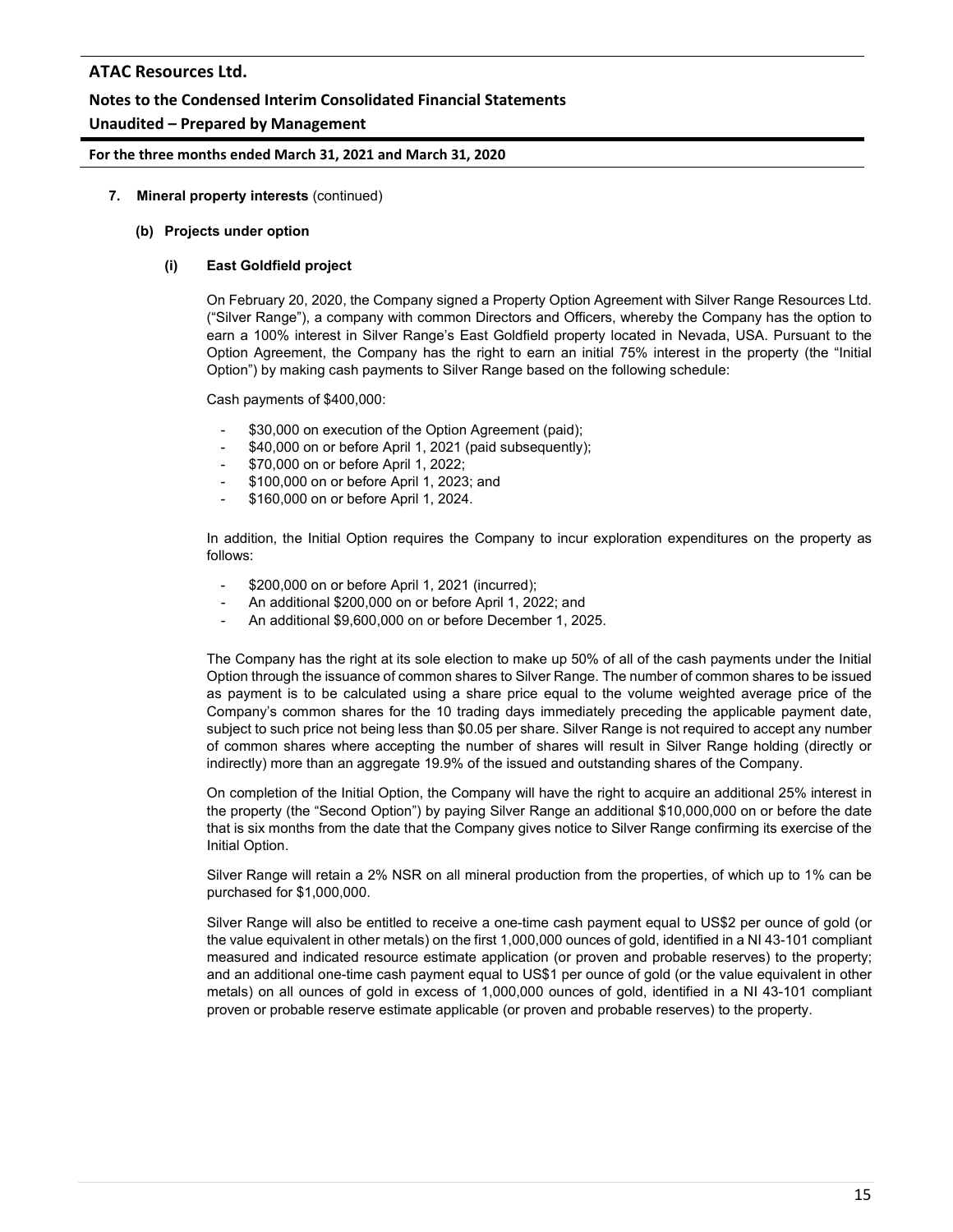### **Notes to the Condensed Interim Consolidated Financial Statements**

### **Unaudited – Prepared by Management**

#### **For the three months ended March 31, 2021 and March 31, 2020**

#### **7. Mineral property interests** (continued)

#### **(b) Projects under option**

#### **(i) East Goldfield project**

On February 20, 2020, the Company signed a Property Option Agreement with Silver Range Resources Ltd. ("Silver Range"), a company with common Directors and Officers, whereby the Company has the option to earn a 100% interest in Silver Range's East Goldfield property located in Nevada, USA. Pursuant to the Option Agreement, the Company has the right to earn an initial 75% interest in the property (the "Initial Option") by making cash payments to Silver Range based on the following schedule:

Cash payments of \$400,000:

- \$30,000 on execution of the Option Agreement (paid);
- \$40,000 on or before April 1, 2021 (paid subsequently);
- \$70,000 on or before April 1, 2022;
- \$100,000 on or before April 1, 2023; and
- \$160,000 on or before April 1, 2024.

In addition, the Initial Option requires the Company to incur exploration expenditures on the property as follows:

- \$200,000 on or before April 1, 2021 (incurred);
- An additional \$200,000 on or before April 1, 2022; and
- An additional \$9,600,000 on or before December 1, 2025.

The Company has the right at its sole election to make up 50% of all of the cash payments under the Initial Option through the issuance of common shares to Silver Range. The number of common shares to be issued as payment is to be calculated using a share price equal to the volume weighted average price of the Company's common shares for the 10 trading days immediately preceding the applicable payment date, subject to such price not being less than \$0.05 per share. Silver Range is not required to accept any number of common shares where accepting the number of shares will result in Silver Range holding (directly or indirectly) more than an aggregate 19.9% of the issued and outstanding shares of the Company.

On completion of the Initial Option, the Company will have the right to acquire an additional 25% interest in the property (the "Second Option") by paying Silver Range an additional \$10,000,000 on or before the date that is six months from the date that the Company gives notice to Silver Range confirming its exercise of the Initial Option.

Silver Range will retain a 2% NSR on all mineral production from the properties, of which up to 1% can be purchased for \$1,000,000.

Silver Range will also be entitled to receive a one-time cash payment equal to US\$2 per ounce of gold (or the value equivalent in other metals) on the first 1,000,000 ounces of gold, identified in a NI 43-101 compliant measured and indicated resource estimate application (or proven and probable reserves) to the property; and an additional one-time cash payment equal to US\$1 per ounce of gold (or the value equivalent in other metals) on all ounces of gold in excess of 1,000,000 ounces of gold, identified in a NI 43-101 compliant proven or probable reserve estimate applicable (or proven and probable reserves) to the property.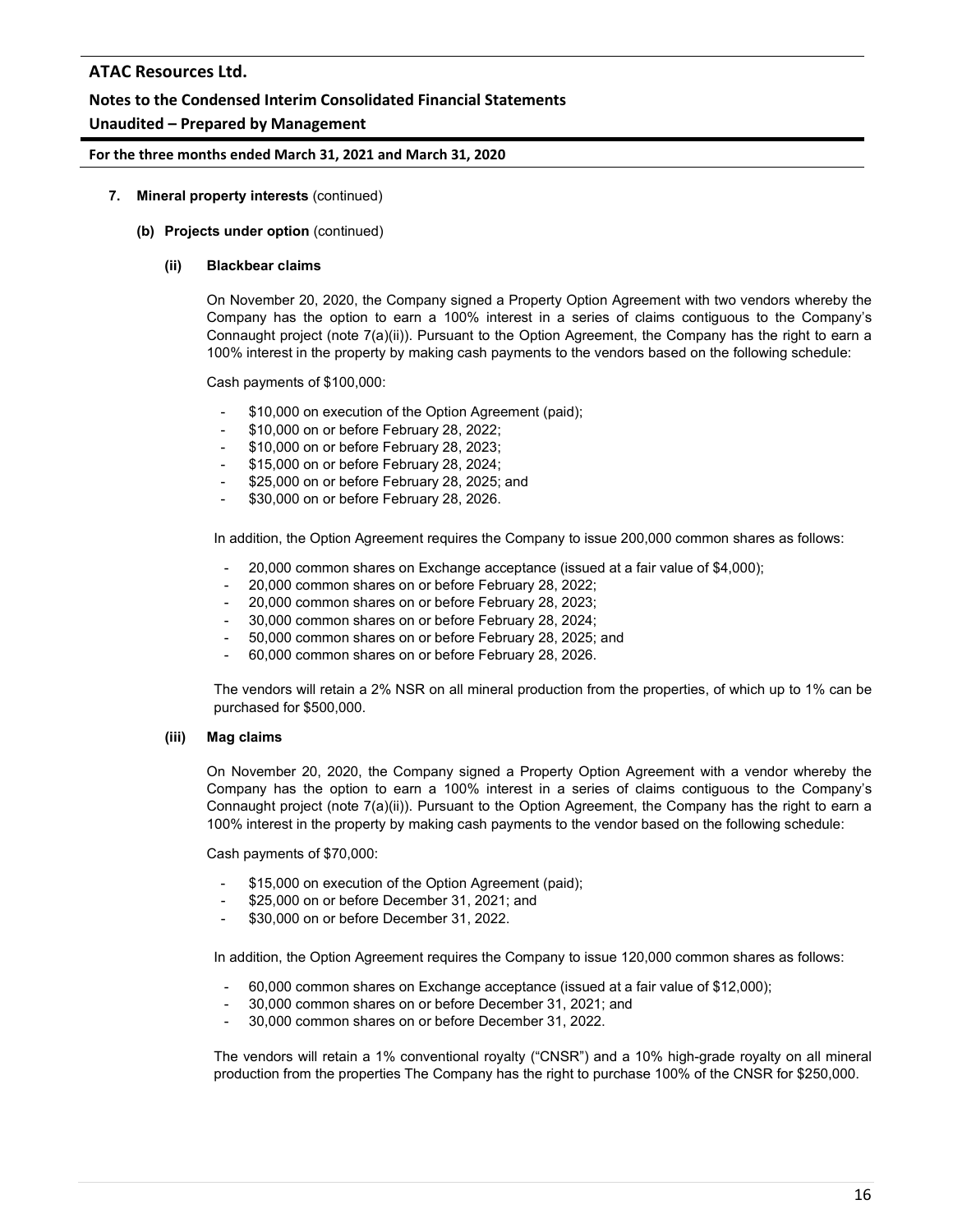### **Notes to the Condensed Interim Consolidated Financial Statements**

### **Unaudited – Prepared by Management**

#### **For the three months ended March 31, 2021 and March 31, 2020**

#### **7. Mineral property interests** (continued)

#### **(b) Projects under option** (continued)

#### **(ii) Blackbear claims**

On November 20, 2020, the Company signed a Property Option Agreement with two vendors whereby the Company has the option to earn a 100% interest in a series of claims contiguous to the Company's Connaught project (note 7(a)(ii)). Pursuant to the Option Agreement, the Company has the right to earn a 100% interest in the property by making cash payments to the vendors based on the following schedule:

Cash payments of \$100,000:

- \$10,000 on execution of the Option Agreement (paid);
- \$10,000 on or before February 28, 2022;
- \$10,000 on or before February 28, 2023;
- \$15,000 on or before February 28, 2024;
- \$25,000 on or before February 28, 2025; and
- \$30,000 on or before February 28, 2026.

In addition, the Option Agreement requires the Company to issue 200,000 common shares as follows:

- 20,000 common shares on Exchange acceptance (issued at a fair value of \$4,000);
- 20,000 common shares on or before February 28, 2022;
- 20,000 common shares on or before February 28, 2023;
- 30,000 common shares on or before February 28, 2024;
- 50,000 common shares on or before February 28, 2025; and
- 60,000 common shares on or before February 28, 2026.

The vendors will retain a 2% NSR on all mineral production from the properties, of which up to 1% can be purchased for \$500,000.

#### **(iii) Mag claims**

On November 20, 2020, the Company signed a Property Option Agreement with a vendor whereby the Company has the option to earn a 100% interest in a series of claims contiguous to the Company's Connaught project (note 7(a)(ii)). Pursuant to the Option Agreement, the Company has the right to earn a 100% interest in the property by making cash payments to the vendor based on the following schedule:

Cash payments of \$70,000:

- \$15,000 on execution of the Option Agreement (paid);
- \$25,000 on or before December 31, 2021; and
- \$30,000 on or before December 31, 2022.

In addition, the Option Agreement requires the Company to issue 120,000 common shares as follows:

- 60,000 common shares on Exchange acceptance (issued at a fair value of \$12,000);
- 30,000 common shares on or before December 31, 2021; and
- 30,000 common shares on or before December 31, 2022.

The vendors will retain a 1% conventional royalty ("CNSR") and a 10% high-grade royalty on all mineral production from the properties The Company has the right to purchase 100% of the CNSR for \$250,000.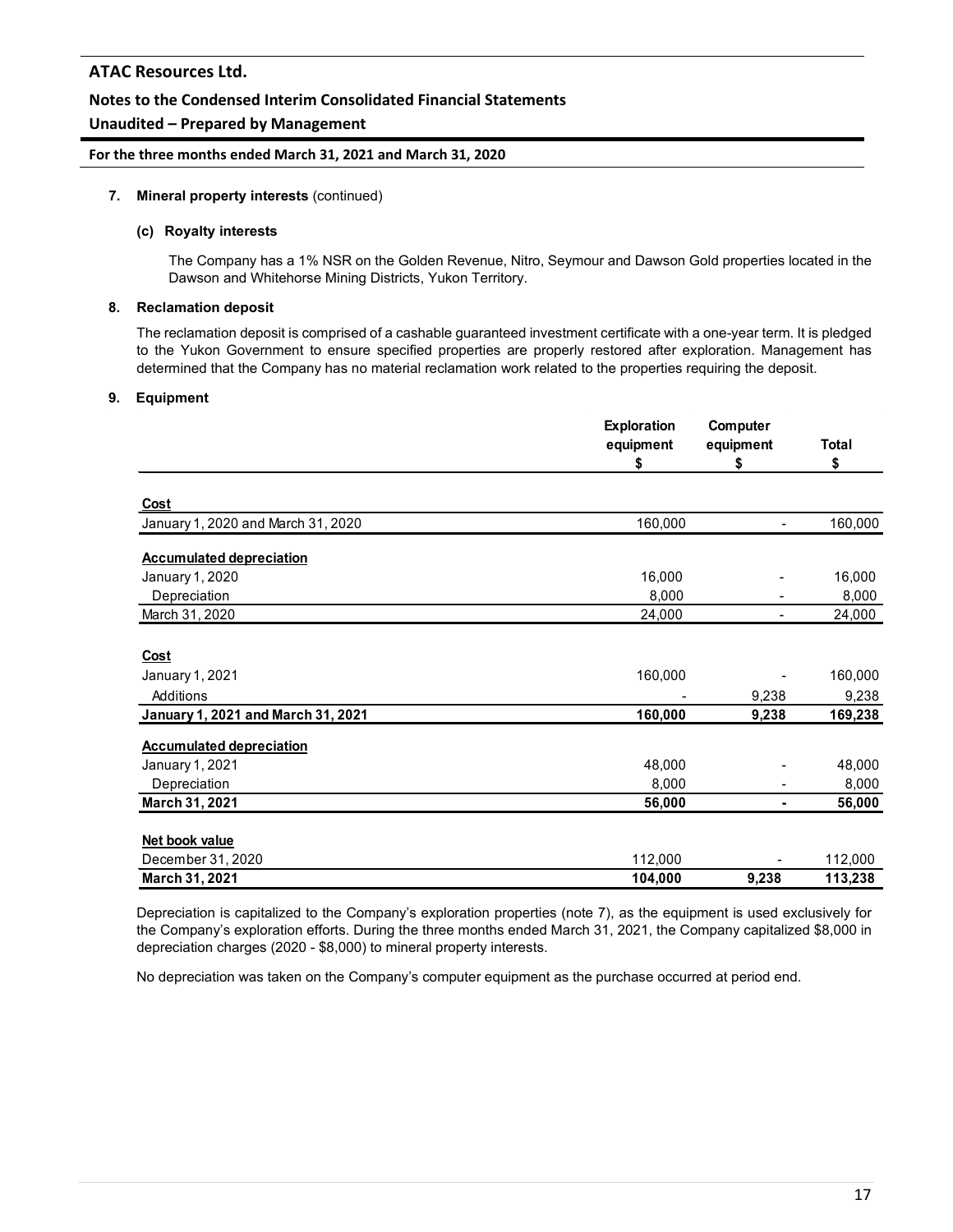### **Notes to the Condensed Interim Consolidated Financial Statements**

### **Unaudited – Prepared by Management**

#### **For the three months ended March 31, 2021 and March 31, 2020**

#### **7. Mineral property interests** (continued)

#### **(c) Royalty interests**

The Company has a 1% NSR on the Golden Revenue, Nitro, Seymour and Dawson Gold properties located in the Dawson and Whitehorse Mining Districts, Yukon Territory.

#### **8. Reclamation deposit**

The reclamation deposit is comprised of a cashable guaranteed investment certificate with a one-year term. It is pledged to the Yukon Government to ensure specified properties are properly restored after exploration. Management has determined that the Company has no material reclamation work related to the properties requiring the deposit.

#### **9. Equipment**

|                                    | <b>Exploration</b><br>equipment | Computer<br>equipment | <b>Total</b> |
|------------------------------------|---------------------------------|-----------------------|--------------|
|                                    | \$                              | \$                    | \$           |
| <u>Cost</u>                        |                                 |                       |              |
| January 1, 2020 and March 31, 2020 | 160,000                         |                       | 160,000      |
| <b>Accumulated depreciation</b>    |                                 |                       |              |
| January 1, 2020                    | 16,000                          |                       | 16,000       |
| Depreciation                       | 8,000                           |                       | 8,000        |
| March 31, 2020                     | 24,000                          |                       | 24,000       |
| Cost                               |                                 |                       |              |
| January 1, 2021                    | 160,000                         |                       | 160,000      |
| Additions                          |                                 | 9,238                 | 9,238        |
| January 1, 2021 and March 31, 2021 | 160,000                         | 9,238                 | 169,238      |
| <b>Accumulated depreciation</b>    |                                 |                       |              |
| January 1, 2021                    | 48,000                          |                       | 48,000       |
| Depreciation                       | 8,000                           |                       | 8,000        |
| March 31, 2021                     | 56,000                          |                       | 56,000       |
| Net book value                     |                                 |                       |              |
| December 31, 2020                  | 112,000                         |                       | 112,000      |
| March 31, 2021                     | 104,000                         | 9,238                 | 113,238      |

Depreciation is capitalized to the Company's exploration properties (note 7), as the equipment is used exclusively for the Company's exploration efforts. During the three months ended March 31, 2021, the Company capitalized \$8,000 in depreciation charges (2020 - \$8,000) to mineral property interests.

No depreciation was taken on the Company's computer equipment as the purchase occurred at period end.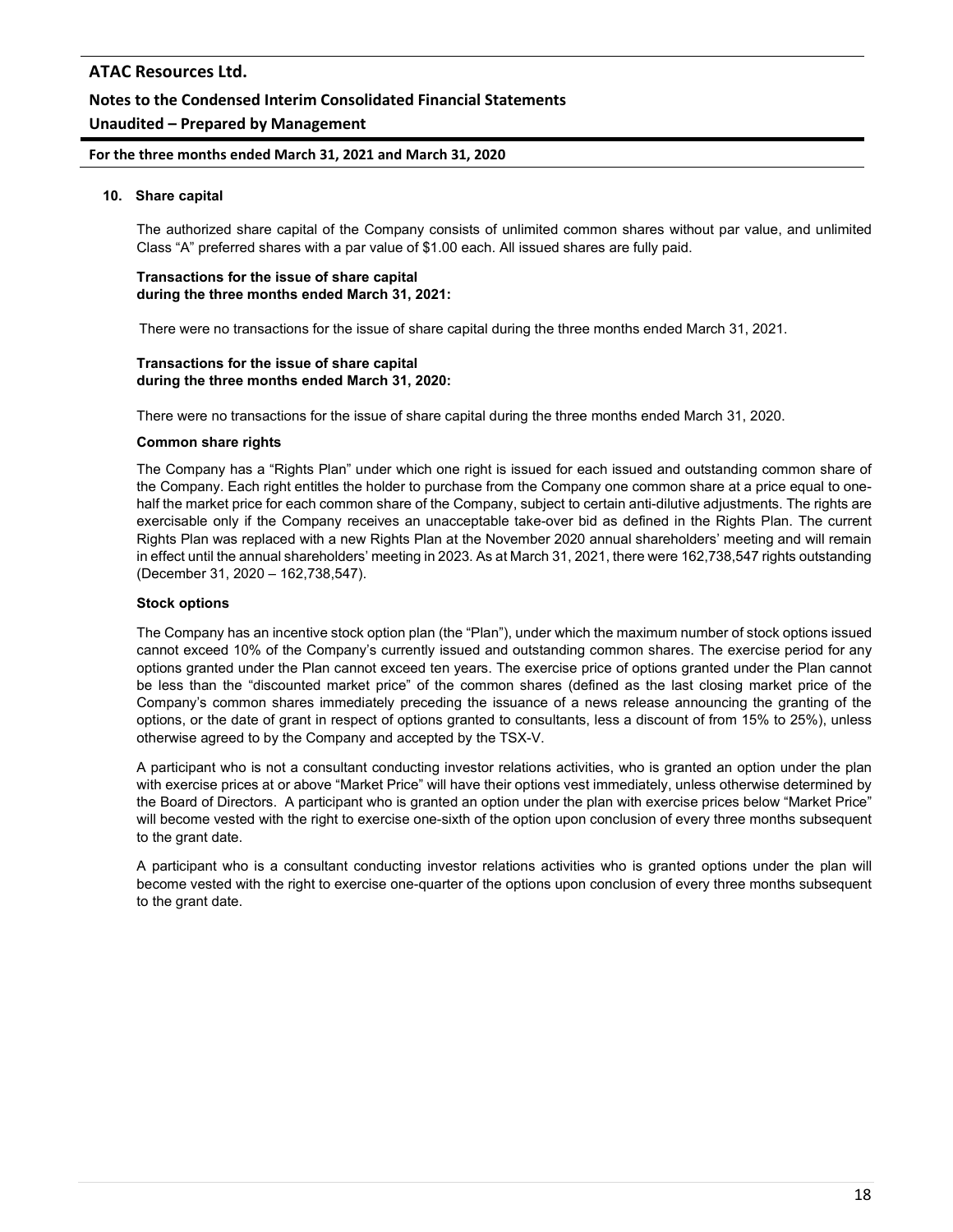# **Unaudited – Prepared by Management**

**For the three months ended March 31, 2021 and March 31, 2020**

#### **10. Share capital**

The authorized share capital of the Company consists of unlimited common shares without par value, and unlimited Class "A" preferred shares with a par value of \$1.00 each. All issued shares are fully paid.

#### **Transactions for the issue of share capital during the three months ended March 31, 2021:**

There were no transactions for the issue of share capital during the three months ended March 31, 2021.

#### **Transactions for the issue of share capital during the three months ended March 31, 2020:**

There were no transactions for the issue of share capital during the three months ended March 31, 2020.

#### **Common share rights**

The Company has a "Rights Plan" under which one right is issued for each issued and outstanding common share of the Company. Each right entitles the holder to purchase from the Company one common share at a price equal to onehalf the market price for each common share of the Company, subject to certain anti-dilutive adjustments. The rights are exercisable only if the Company receives an unacceptable take-over bid as defined in the Rights Plan. The current Rights Plan was replaced with a new Rights Plan at the November 2020 annual shareholders' meeting and will remain in effect until the annual shareholders' meeting in 2023. As at March 31, 2021, there were 162,738,547 rights outstanding (December 31, 2020 – 162,738,547).

#### **Stock options**

The Company has an incentive stock option plan (the "Plan"), under which the maximum number of stock options issued cannot exceed 10% of the Company's currently issued and outstanding common shares. The exercise period for any options granted under the Plan cannot exceed ten years. The exercise price of options granted under the Plan cannot be less than the "discounted market price" of the common shares (defined as the last closing market price of the Company's common shares immediately preceding the issuance of a news release announcing the granting of the options, or the date of grant in respect of options granted to consultants, less a discount of from 15% to 25%), unless otherwise agreed to by the Company and accepted by the TSX-V.

A participant who is not a consultant conducting investor relations activities, who is granted an option under the plan with exercise prices at or above "Market Price" will have their options vest immediately, unless otherwise determined by the Board of Directors. A participant who is granted an option under the plan with exercise prices below "Market Price" will become vested with the right to exercise one-sixth of the option upon conclusion of every three months subsequent to the grant date.

A participant who is a consultant conducting investor relations activities who is granted options under the plan will become vested with the right to exercise one-quarter of the options upon conclusion of every three months subsequent to the grant date.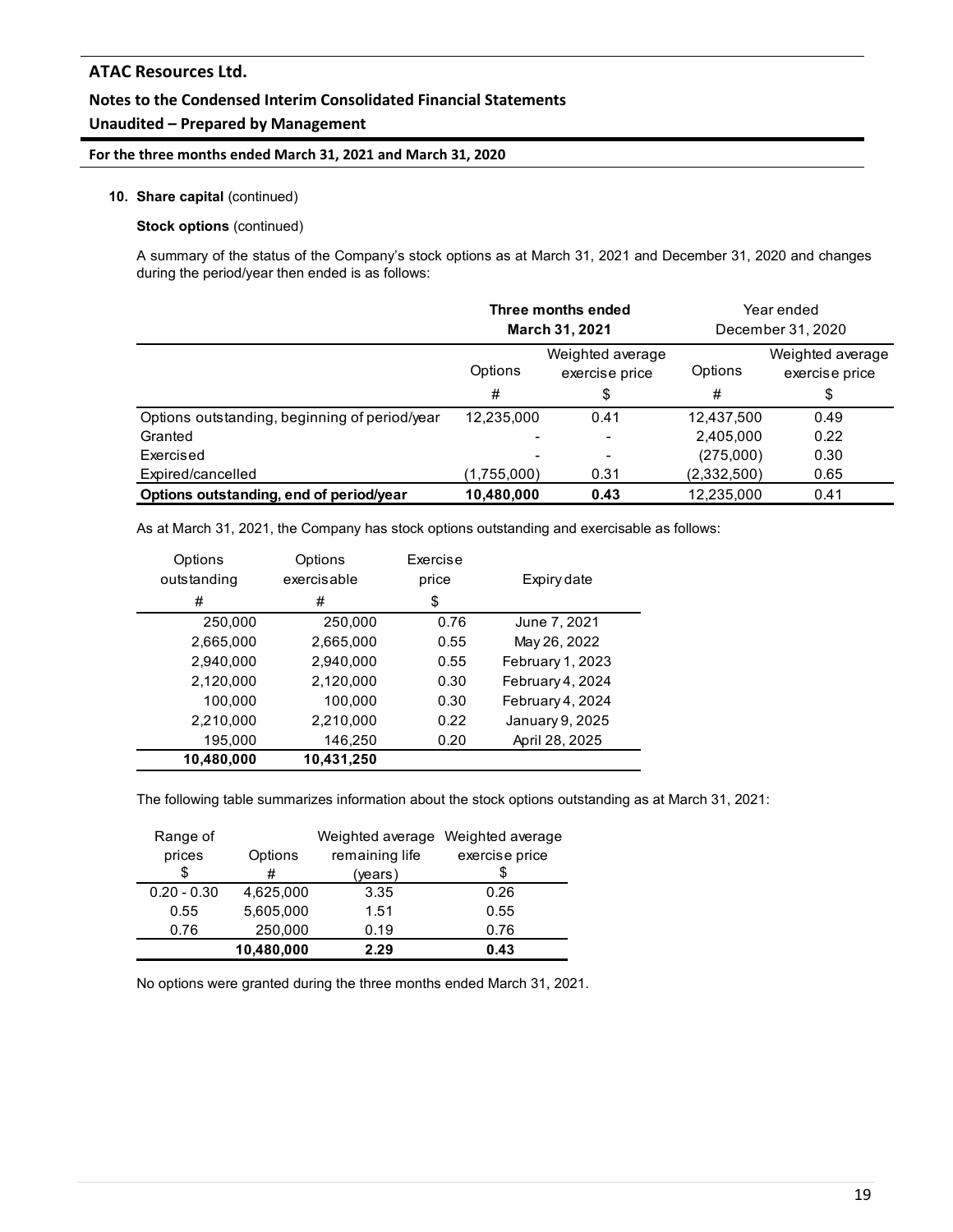### **Notes to the Condensed Interim Consolidated Financial Statements**

### **Unaudited – Prepared by Management**

### **For the three months ended March 31, 2021 and March 31, 2020**

#### **10. Share capital** (continued)

#### **Stock options** (continued)

A summary of the status of the Company's stock options as at March 31, 2021 and December 31, 2020 and changes during the period/year then ended is as follows:

|                                               | Three months ended<br><b>March 31, 2021</b>   |                          |             | Year ended<br>December 31, 2020    |
|-----------------------------------------------|-----------------------------------------------|--------------------------|-------------|------------------------------------|
|                                               | Weighted average<br>Options<br>exercise price |                          | Options     | Weighted average<br>exercise price |
|                                               | #                                             | \$                       | #           | \$                                 |
| Options outstanding, beginning of period/year | 12,235,000                                    | 0.41                     | 12,437,500  | 0.49                               |
| Granted                                       |                                               | ۰                        | 2,405,000   | 0.22                               |
| Exercised                                     |                                               | $\overline{\phantom{a}}$ | (275,000)   | 0.30                               |
| Expired/cancelled                             | (1,755,000)                                   | 0.31                     | (2,332,500) | 0.65                               |
| Options outstanding, end of period/year       | 10,480,000                                    | 0.43                     | 12,235,000  | 0.41                               |

As at March 31, 2021, the Company has stock options outstanding and exercisable as follows:

| Options     | Options     | Exercise |                  |
|-------------|-------------|----------|------------------|
| outstanding | exercisable | price    | Expiry date      |
| #           | #           | \$       |                  |
| 250,000     | 250,000     | 0.76     | June 7, 2021     |
| 2,665,000   | 2,665,000   | 0.55     | May 26, 2022     |
| 2,940,000   | 2,940,000   | 0.55     | February 1, 2023 |
| 2,120,000   | 2,120,000   | 0.30     | February 4, 2024 |
| 100,000     | 100,000     | 0.30     | February 4, 2024 |
| 2,210,000   | 2,210,000   | 0.22     | January 9, 2025  |
| 195,000     | 146,250     | 0.20     | April 28, 2025   |
| 10,480,000  | 10,431,250  |          |                  |

The following table summarizes information about the stock options outstanding as at March 31, 2021:

| Range of      |            |                | Weighted average Weighted average |
|---------------|------------|----------------|-----------------------------------|
| prices        | Options    | remaining life | exercise price                    |
| \$            | #          | (years)        |                                   |
| $0.20 - 0.30$ | 4,625,000  | 3.35           | 0.26                              |
| 0.55          | 5,605,000  | 1.51           | 0.55                              |
| 0.76          | 250,000    | 0.19           | 0.76                              |
|               | 10,480,000 | 2.29           | 0.43                              |

No options were granted during the three months ended March 31, 2021.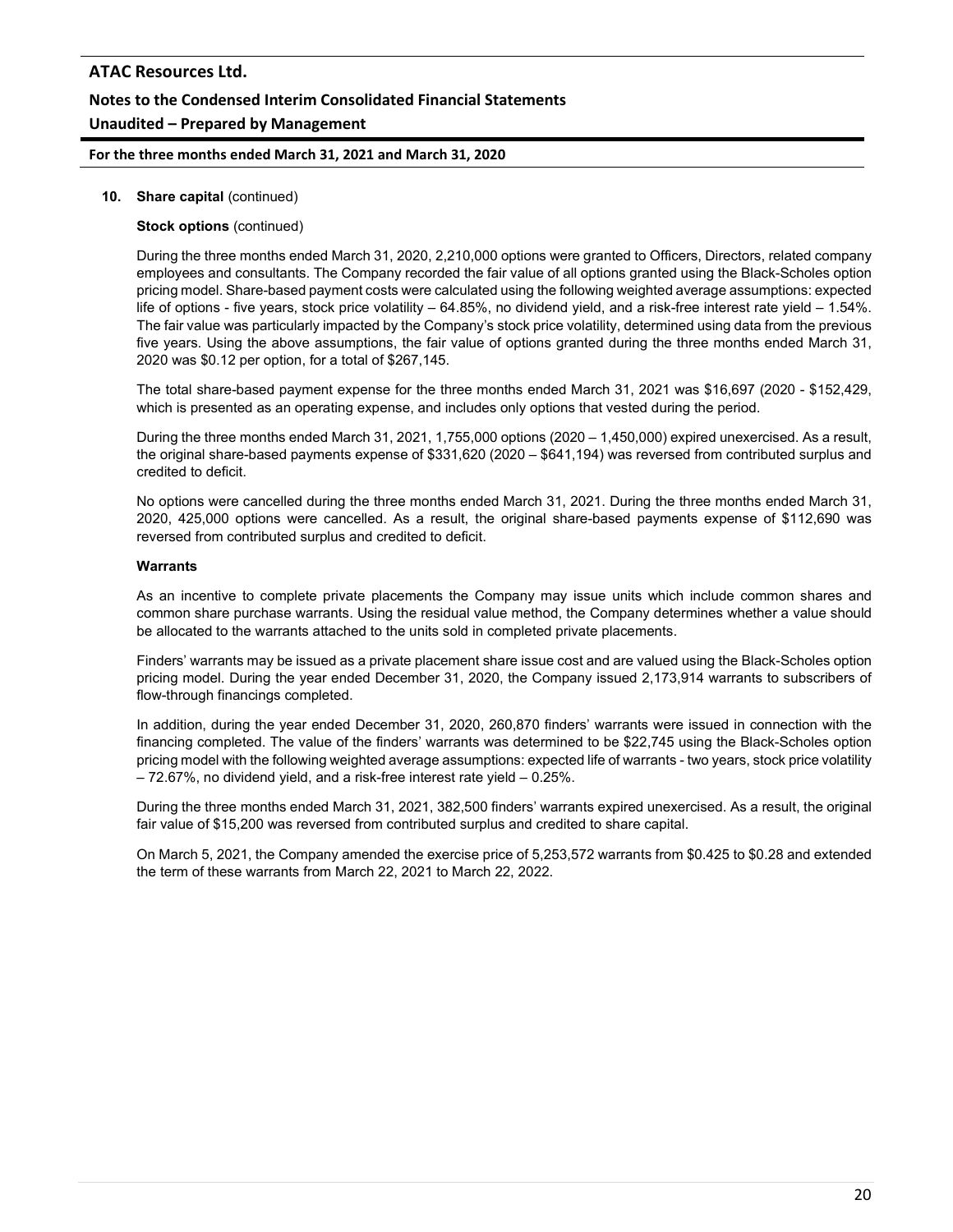### **For the three months ended March 31, 2021 and March 31, 2020**

#### **10. Share capital** (continued)

#### **Stock options** (continued)

During the three months ended March 31, 2020, 2,210,000 options were granted to Officers, Directors, related company employees and consultants. The Company recorded the fair value of all options granted using the Black-Scholes option pricing model. Share-based payment costs were calculated using the following weighted average assumptions: expected life of options - five years, stock price volatility – 64.85%, no dividend yield, and a risk-free interest rate yield – 1.54%. The fair value was particularly impacted by the Company's stock price volatility, determined using data from the previous five years. Using the above assumptions, the fair value of options granted during the three months ended March 31, 2020 was \$0.12 per option, for a total of \$267,145.

The total share-based payment expense for the three months ended March 31, 2021 was \$16,697 (2020 - \$152,429, which is presented as an operating expense, and includes only options that vested during the period.

During the three months ended March 31, 2021, 1,755,000 options (2020 – 1,450,000) expired unexercised. As a result, the original share-based payments expense of \$331,620 (2020 – \$641,194) was reversed from contributed surplus and credited to deficit.

No options were cancelled during the three months ended March 31, 2021. During the three months ended March 31, 2020, 425,000 options were cancelled. As a result, the original share-based payments expense of \$112,690 was reversed from contributed surplus and credited to deficit.

#### **Warrants**

As an incentive to complete private placements the Company may issue units which include common shares and common share purchase warrants. Using the residual value method, the Company determines whether a value should be allocated to the warrants attached to the units sold in completed private placements.

Finders' warrants may be issued as a private placement share issue cost and are valued using the Black-Scholes option pricing model. During the year ended December 31, 2020, the Company issued 2,173,914 warrants to subscribers of flow-through financings completed.

In addition, during the year ended December 31, 2020, 260,870 finders' warrants were issued in connection with the financing completed. The value of the finders' warrants was determined to be \$22,745 using the Black-Scholes option pricing model with the following weighted average assumptions: expected life of warrants - two years, stock price volatility – 72.67%, no dividend yield, and a risk-free interest rate yield – 0.25%.

During the three months ended March 31, 2021, 382,500 finders' warrants expired unexercised. As a result, the original fair value of \$15,200 was reversed from contributed surplus and credited to share capital.

On March 5, 2021, the Company amended the exercise price of 5,253,572 warrants from \$0.425 to \$0.28 and extended the term of these warrants from March 22, 2021 to March 22, 2022.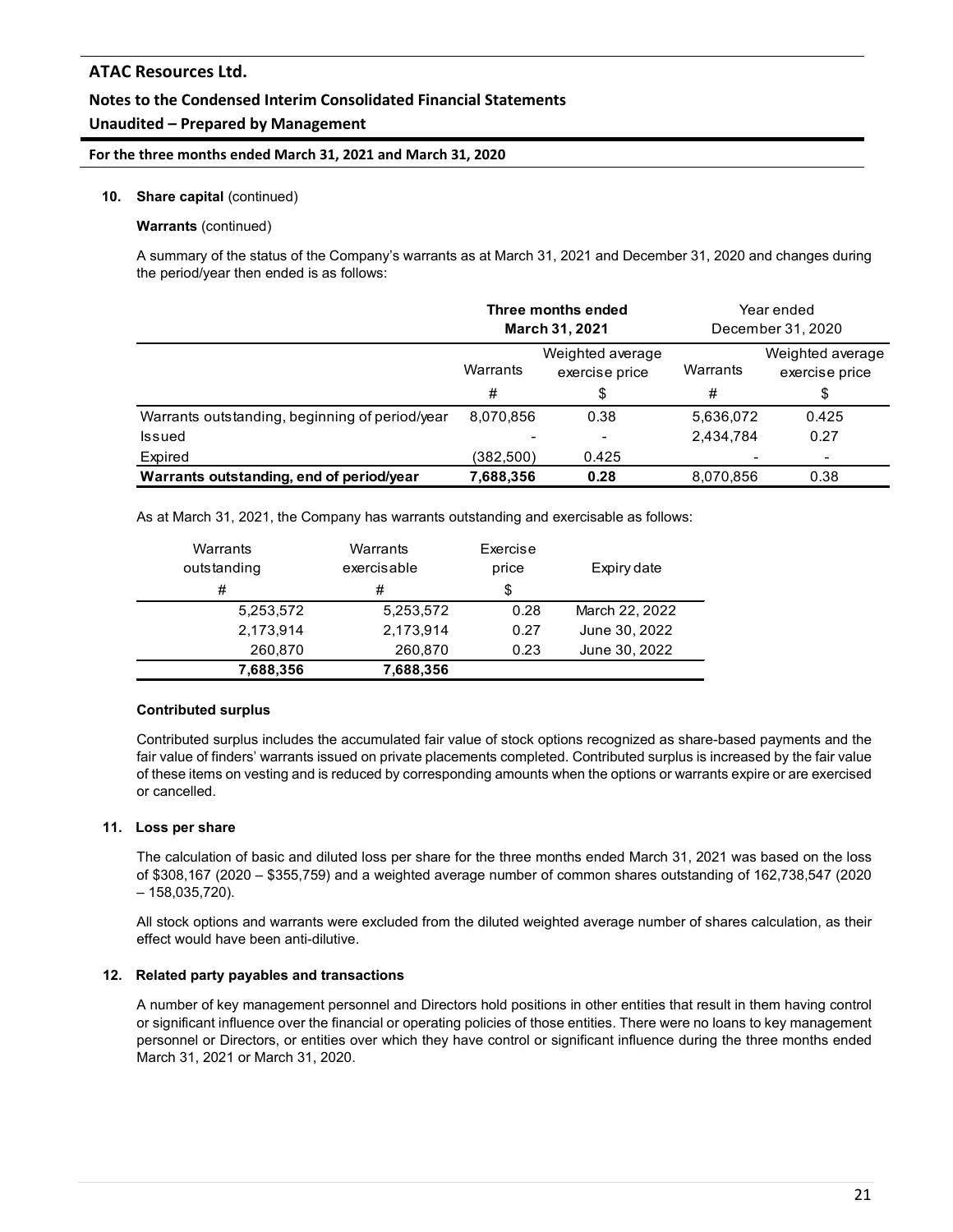### **Notes to the Condensed Interim Consolidated Financial Statements**

### **Unaudited – Prepared by Management**

#### **For the three months ended March 31, 2021 and March 31, 2020**

#### **10. Share capital** (continued)

#### **Warrants** (continued)

A summary of the status of the Company's warrants as at March 31, 2021 and December 31, 2020 and changes during the period/year then ended is as follows:

|                                                | Three months ended<br><b>March 31, 2021</b>    |                          | Year ended<br>December 31, 2020 |                                    |
|------------------------------------------------|------------------------------------------------|--------------------------|---------------------------------|------------------------------------|
|                                                | Weighted average<br>Warrants<br>exercise price |                          | Warrants                        | Weighted average<br>exercise price |
|                                                | #                                              | \$                       | #                               | \$                                 |
| Warrants outstanding, beginning of period/year | 8,070,856                                      | 0.38                     | 5,636,072                       | 0.425                              |
| Issued                                         |                                                | $\overline{\phantom{a}}$ | 2,434,784                       | 0.27                               |
| Expired                                        | (382,500)                                      | 0.425                    |                                 |                                    |
| Warrants outstanding, end of period/year       | 7,688,356                                      | 0.28                     | 8.070.856                       | 0.38                               |

As at March 31, 2021, the Company has warrants outstanding and exercisable as follows:

| Warrants    | Warrants    | Exercise |                |
|-------------|-------------|----------|----------------|
| outstanding | exercisable | price    | Expiry date    |
| #           | #           | \$       |                |
| 5,253,572   | 5.253.572   | 0.28     | March 22, 2022 |
| 2,173,914   | 2,173,914   | 0.27     | June 30, 2022  |
| 260,870     | 260,870     | 0.23     | June 30, 2022  |
| 7,688,356   | 7,688,356   |          |                |

#### **Contributed surplus**

Contributed surplus includes the accumulated fair value of stock options recognized as share-based payments and the fair value of finders' warrants issued on private placements completed. Contributed surplus is increased by the fair value of these items on vesting and is reduced by corresponding amounts when the options or warrants expire or are exercised or cancelled.

#### **11. Loss per share**

The calculation of basic and diluted loss per share for the three months ended March 31, 2021 was based on the loss of \$308,167 (2020 – \$355,759) and a weighted average number of common shares outstanding of 162,738,547 (2020 – 158,035,720).

All stock options and warrants were excluded from the diluted weighted average number of shares calculation, as their effect would have been anti-dilutive.

#### **12. Related party payables and transactions**

A number of key management personnel and Directors hold positions in other entities that result in them having control or significant influence over the financial or operating policies of those entities. There were no loans to key management personnel or Directors, or entities over which they have control or significant influence during the three months ended March 31, 2021 or March 31, 2020.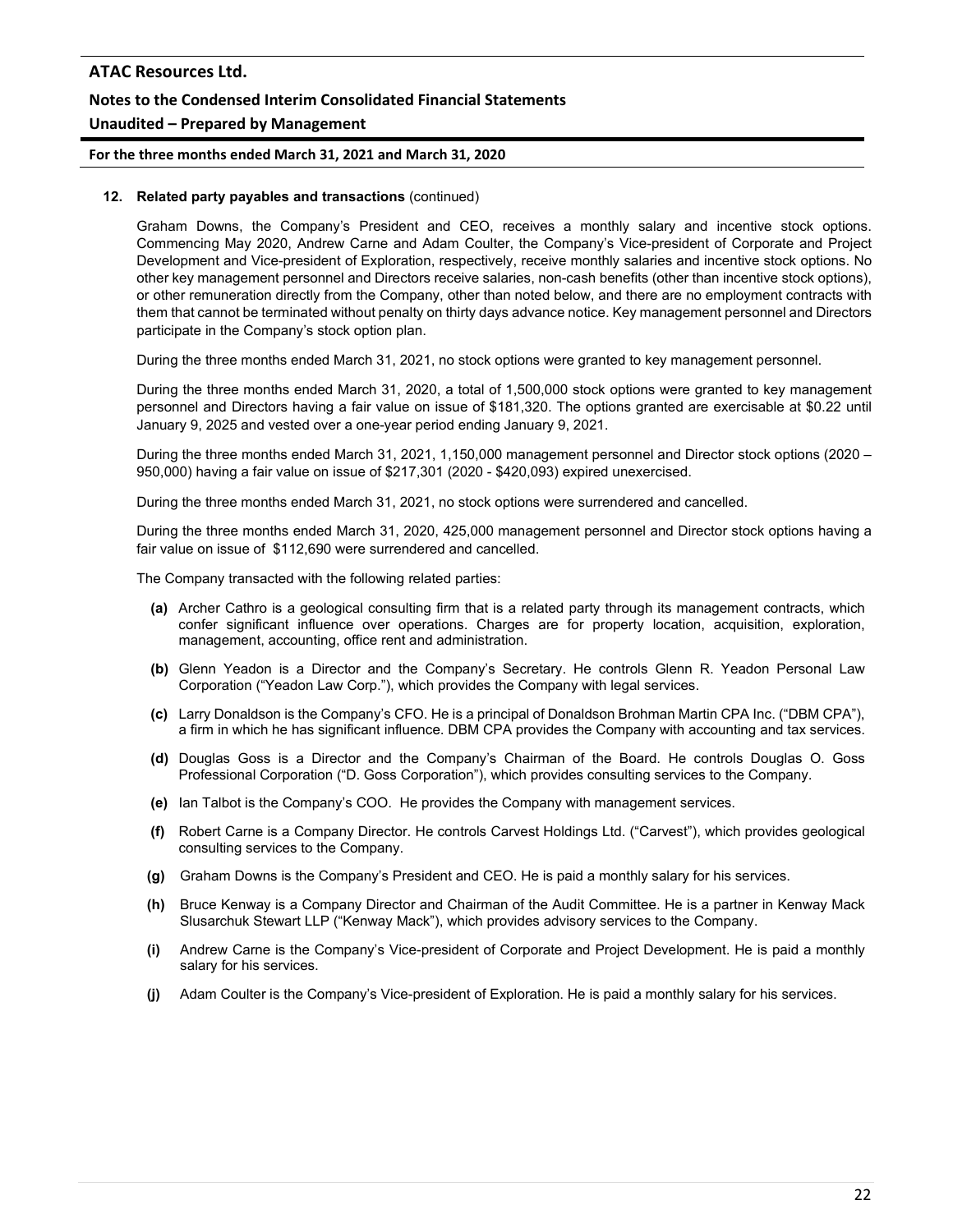# **For the three months ended March 31, 2021 and March 31, 2020**

### **12. Related party payables and transactions** (continued)

Graham Downs, the Company's President and CEO, receives a monthly salary and incentive stock options. Commencing May 2020, Andrew Carne and Adam Coulter, the Company's Vice-president of Corporate and Project Development and Vice-president of Exploration, respectively, receive monthly salaries and incentive stock options. No other key management personnel and Directors receive salaries, non-cash benefits (other than incentive stock options), or other remuneration directly from the Company, other than noted below, and there are no employment contracts with them that cannot be terminated without penalty on thirty days advance notice. Key management personnel and Directors participate in the Company's stock option plan.

During the three months ended March 31, 2021, no stock options were granted to key management personnel.

During the three months ended March 31, 2020, a total of 1,500,000 stock options were granted to key management personnel and Directors having a fair value on issue of \$181,320. The options granted are exercisable at \$0.22 until January 9, 2025 and vested over a one-year period ending January 9, 2021.

During the three months ended March 31, 2021, 1,150,000 management personnel and Director stock options (2020 – 950,000) having a fair value on issue of \$217,301 (2020 - \$420,093) expired unexercised.

During the three months ended March 31, 2021, no stock options were surrendered and cancelled.

During the three months ended March 31, 2020, 425,000 management personnel and Director stock options having a fair value on issue of \$112,690 were surrendered and cancelled.

The Company transacted with the following related parties:

- **(a)** Archer Cathro is a geological consulting firm that is a related party through its management contracts, which confer significant influence over operations. Charges are for property location, acquisition, exploration, management, accounting, office rent and administration.
- **(b)** Glenn Yeadon is a Director and the Company's Secretary. He controls Glenn R. Yeadon Personal Law Corporation ("Yeadon Law Corp."), which provides the Company with legal services.
- **(c)** Larry Donaldson is the Company's CFO. He is a principal of Donaldson Brohman Martin CPA Inc. ("DBM CPA"), a firm in which he has significant influence. DBM CPA provides the Company with accounting and tax services.
- **(d)** Douglas Goss is a Director and the Company's Chairman of the Board. He controls Douglas O. Goss Professional Corporation ("D. Goss Corporation"), which provides consulting services to the Company.
- **(e)** Ian Talbot is the Company's COO. He provides the Company with management services.
- **(f)** Robert Carne is a Company Director. He controls Carvest Holdings Ltd. ("Carvest"), which provides geological consulting services to the Company.
- **(g)** Graham Downs is the Company's President and CEO. He is paid a monthly salary for his services.
- **(h)** Bruce Kenway is a Company Director and Chairman of the Audit Committee. He is a partner in Kenway Mack Slusarchuk Stewart LLP ("Kenway Mack"), which provides advisory services to the Company.
- **(i)** Andrew Carne is the Company's Vice-president of Corporate and Project Development. He is paid a monthly salary for his services.
- **(j)** Adam Coulter is the Company's Vice-president of Exploration. He is paid a monthly salary for his services.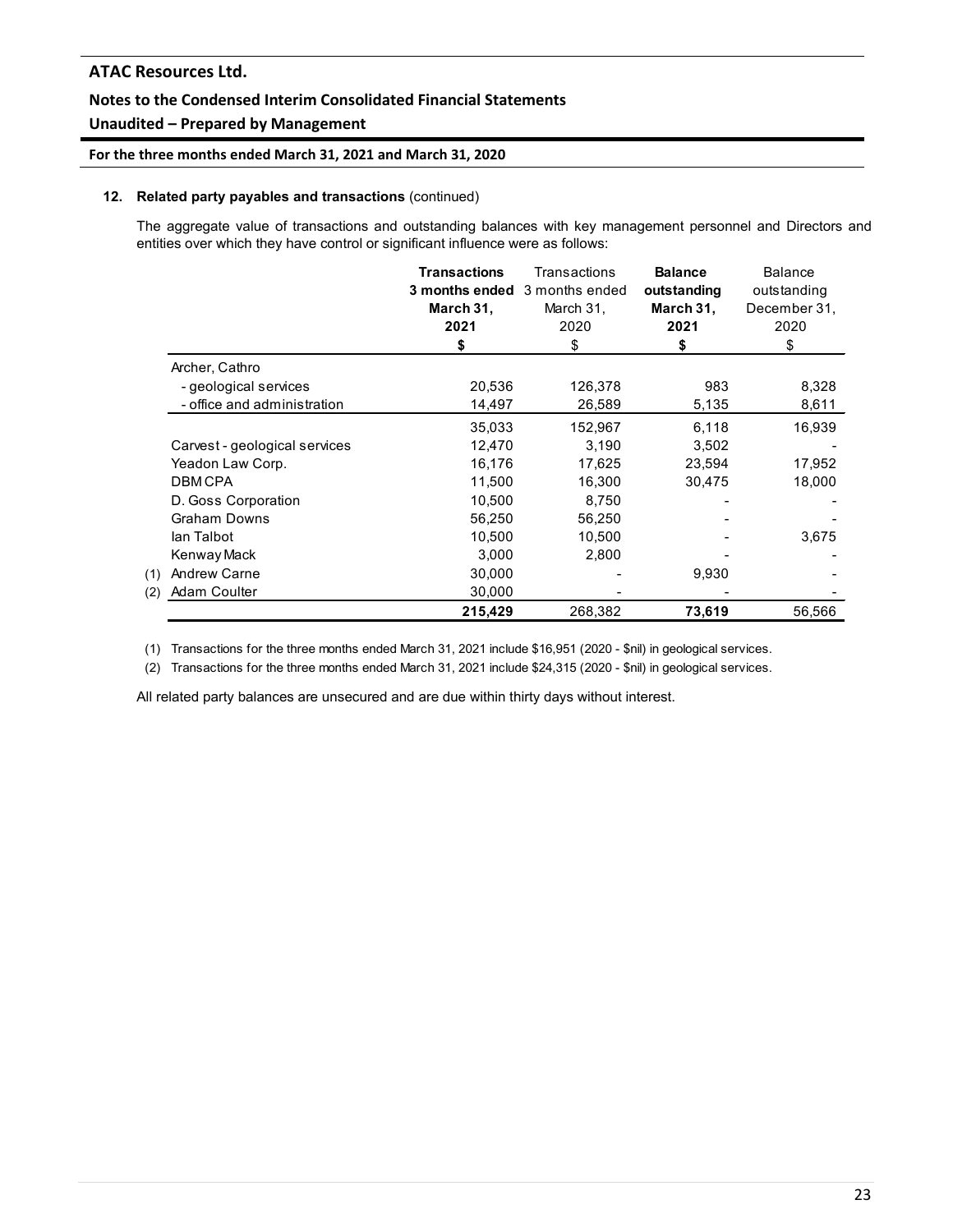### **Notes to the Condensed Interim Consolidated Financial Statements**

### **Unaudited – Prepared by Management**

**For the three months ended March 31, 2021 and March 31, 2020**

#### **12. Related party payables and transactions** (continued)

The aggregate value of transactions and outstanding balances with key management personnel and Directors and entities over which they have control or significant influence were as follows:

|                               | <b>Transactions</b><br>March 31,<br>2021<br>\$ | Transactions<br>3 months ended 3 months ended<br>March 31,<br>2020<br>\$ | <b>Balance</b><br>outstanding<br>March 31,<br>2021<br>\$ | <b>Balance</b><br>outstanding<br>December 31,<br>2020<br>\$ |
|-------------------------------|------------------------------------------------|--------------------------------------------------------------------------|----------------------------------------------------------|-------------------------------------------------------------|
| Archer, Cathro                |                                                |                                                                          |                                                          |                                                             |
| - geological services         | 20,536                                         | 126,378                                                                  | 983                                                      | 8,328                                                       |
| - office and administration   | 14,497                                         | 26,589                                                                   | 5,135                                                    | 8,611                                                       |
|                               | 35,033                                         | 152,967                                                                  | 6,118                                                    | 16,939                                                      |
| Carvest - geological services | 12,470                                         | 3,190                                                                    | 3,502                                                    |                                                             |
| Yeadon Law Corp.              | 16,176                                         | 17,625                                                                   | 23,594                                                   | 17,952                                                      |
| <b>DBMCPA</b>                 | 11,500                                         | 16.300                                                                   | 30,475                                                   | 18,000                                                      |
| D. Goss Corporation           | 10,500                                         | 8.750                                                                    |                                                          |                                                             |
| Graham Downs                  | 56,250                                         | 56,250                                                                   |                                                          |                                                             |
| lan Talbot                    | 10,500                                         | 10,500                                                                   |                                                          | 3,675                                                       |
| Kenway Mack                   | 3,000                                          | 2,800                                                                    |                                                          |                                                             |
| <b>Andrew Carne</b><br>(1)    | 30,000                                         |                                                                          | 9,930                                                    |                                                             |
| Adam Coulter<br>(2)           | 30,000                                         |                                                                          |                                                          |                                                             |
|                               | 215,429                                        | 268,382                                                                  | 73,619                                                   | 56,566                                                      |

(1) Transactions for the three months ended March 31, 2021 include \$16,951 (2020 - \$nil) in geological services.

(2) Transactions for the three months ended March 31, 2021 include \$24,315 (2020 - \$nil) in geological services.

All related party balances are unsecured and are due within thirty days without interest.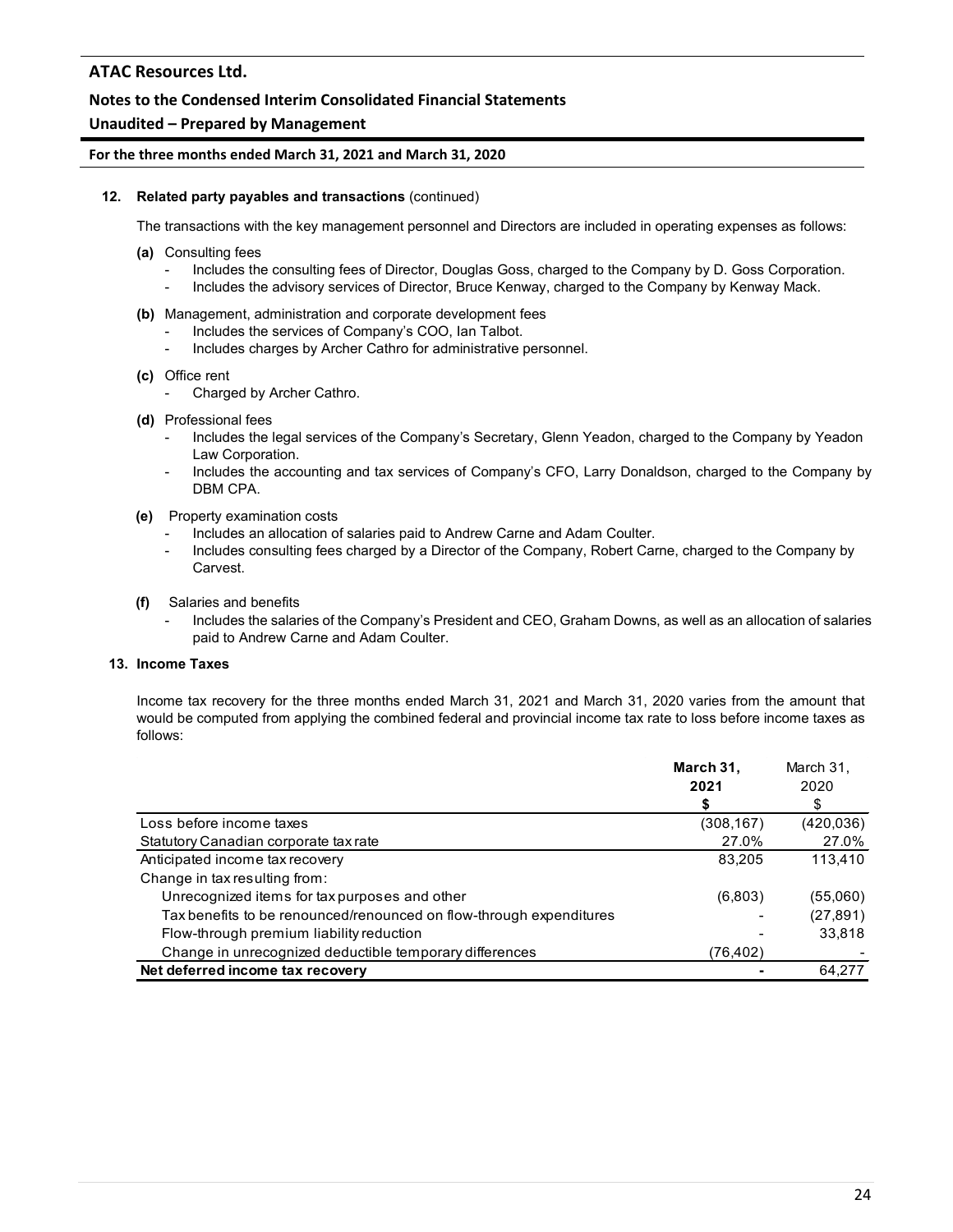### **Notes to the Condensed Interim Consolidated Financial Statements**

### **Unaudited – Prepared by Management**

#### **For the three months ended March 31, 2021 and March 31, 2020**

#### **12. Related party payables and transactions** (continued)

The transactions with the key management personnel and Directors are included in operating expenses as follows:

- **(a)** Consulting fees
	- Includes the consulting fees of Director, Douglas Goss, charged to the Company by D. Goss Corporation.
	- Includes the advisory services of Director, Bruce Kenway, charged to the Company by Kenway Mack.
- **(b)** Management, administration and corporate development fees
	- Includes the services of Company's COO, Ian Talbot.
	- Includes charges by Archer Cathro for administrative personnel.
- **(c)** Office rent
	- Charged by Archer Cathro.
- **(d)** Professional fees
	- Includes the legal services of the Company's Secretary, Glenn Yeadon, charged to the Company by Yeadon Law Corporation.
	- Includes the accounting and tax services of Company's CFO, Larry Donaldson, charged to the Company by DBM CPA.
- **(e)** Property examination costs
	- Includes an allocation of salaries paid to Andrew Carne and Adam Coulter.
	- Includes consulting fees charged by a Director of the Company, Robert Carne, charged to the Company by Carvest.
- **(f)** Salaries and benefits
	- Includes the salaries of the Company's President and CEO, Graham Downs, as well as an allocation of salaries paid to Andrew Carne and Adam Coulter.

#### **13. Income Taxes**

Income tax recovery for the three months ended March 31, 2021 and March 31, 2020 varies from the amount that would be computed from applying the combined federal and provincial income tax rate to loss before income taxes as follows:

|                                                                     | March 31,  | March 31,  |
|---------------------------------------------------------------------|------------|------------|
|                                                                     | 2021       | 2020       |
|                                                                     | \$         | \$         |
| Loss before income taxes                                            | (308, 167) | (420, 036) |
| Statutory Canadian corporate tax rate                               | 27.0%      | 27.0%      |
| Anticipated income tax recovery                                     | 83.205     | 113.410    |
| Change in tax resulting from:                                       |            |            |
| Unrecognized items for tax purposes and other                       | (6,803)    | (55,060)   |
| Tax benefits to be renounced/renounced on flow-through expenditures |            | (27, 891)  |
| Flow-through premium liability reduction                            |            | 33,818     |
| Change in unrecognized deductible temporary differences             | (76,402)   |            |
| Net deferred income tax recovery                                    |            | 64.277     |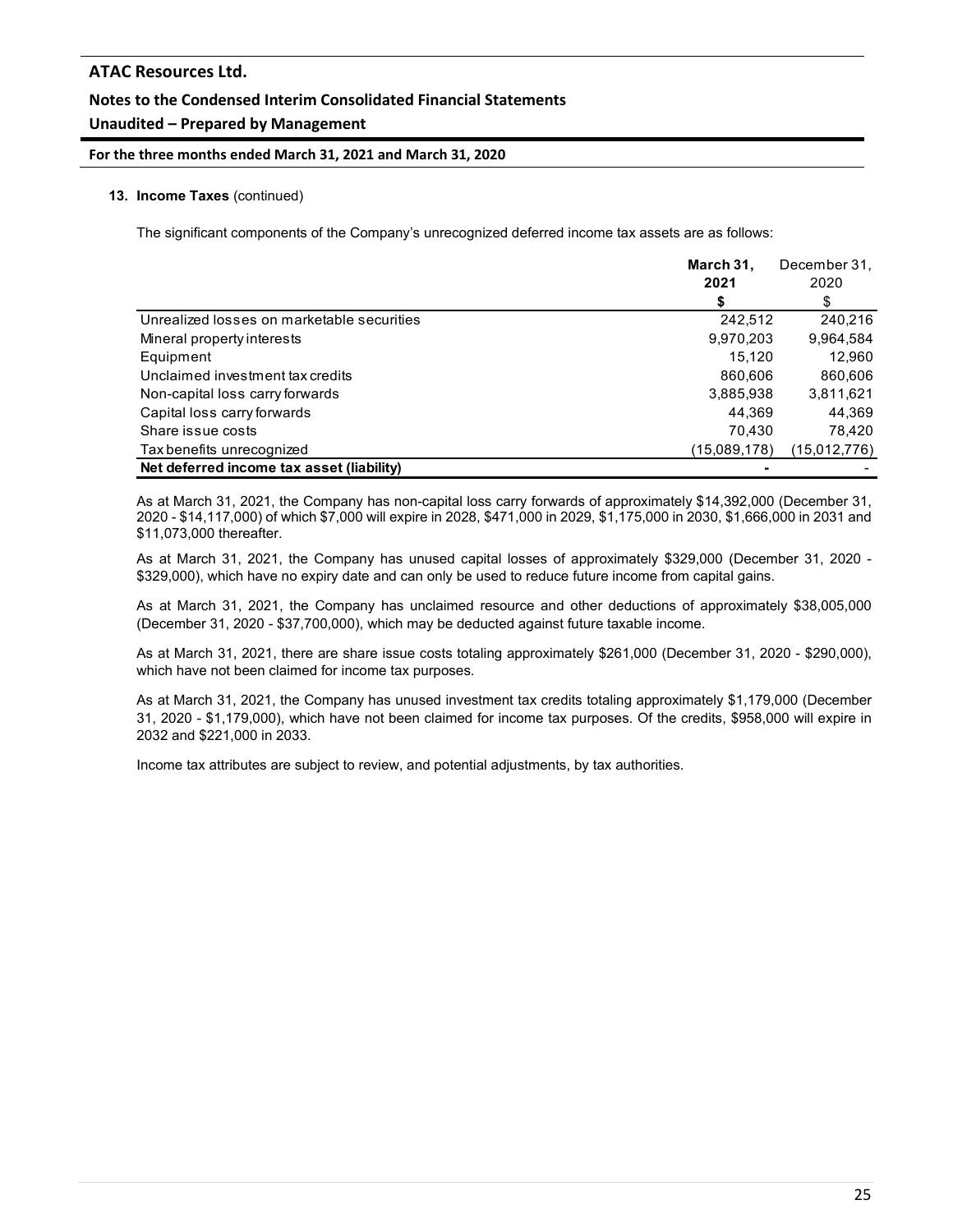**For the three months ended March 31, 2021 and March 31, 2020**

#### **13. Income Taxes** (continued)

The significant components of the Company's unrecognized deferred income tax assets are as follows:

|                                            | March 31,    | December 31, |
|--------------------------------------------|--------------|--------------|
|                                            | 2021         | 2020         |
|                                            |              | S            |
| Unrealized losses on marketable securities | 242,512      | 240,216      |
| Mineral property interests                 | 9,970,203    | 9,964,584    |
| Equipment                                  | 15.120       | 12.960       |
| Unclaimed investment tax credits           | 860.606      | 860,606      |
| Non-capital loss carry forwards            | 3,885,938    | 3,811,621    |
| Capital loss carry forwards                | 44,369       | 44,369       |
| Share issue costs                          | 70.430       | 78.420       |
| Tax benefits unrecognized                  | (15,089,178) | (15,012,776) |
| Net deferred income tax asset (liability)  |              |              |

As at March 31, 2021, the Company has non-capital loss carry forwards of approximately \$14,392,000 (December 31, 2020 - \$14,117,000) of which \$7,000 will expire in 2028, \$471,000 in 2029, \$1,175,000 in 2030, \$1,666,000 in 2031 and \$11,073,000 thereafter.

As at March 31, 2021, the Company has unused capital losses of approximately \$329,000 (December 31, 2020 - \$329,000), which have no expiry date and can only be used to reduce future income from capital gains.

As at March 31, 2021, the Company has unclaimed resource and other deductions of approximately \$38,005,000 (December 31, 2020 - \$37,700,000), which may be deducted against future taxable income.

As at March 31, 2021, there are share issue costs totaling approximately \$261,000 (December 31, 2020 - \$290,000), which have not been claimed for income tax purposes.

As at March 31, 2021, the Company has unused investment tax credits totaling approximately \$1,179,000 (December 31, 2020 - \$1,179,000), which have not been claimed for income tax purposes. Of the credits, \$958,000 will expire in 2032 and \$221,000 in 2033.

Income tax attributes are subject to review, and potential adjustments, by tax authorities.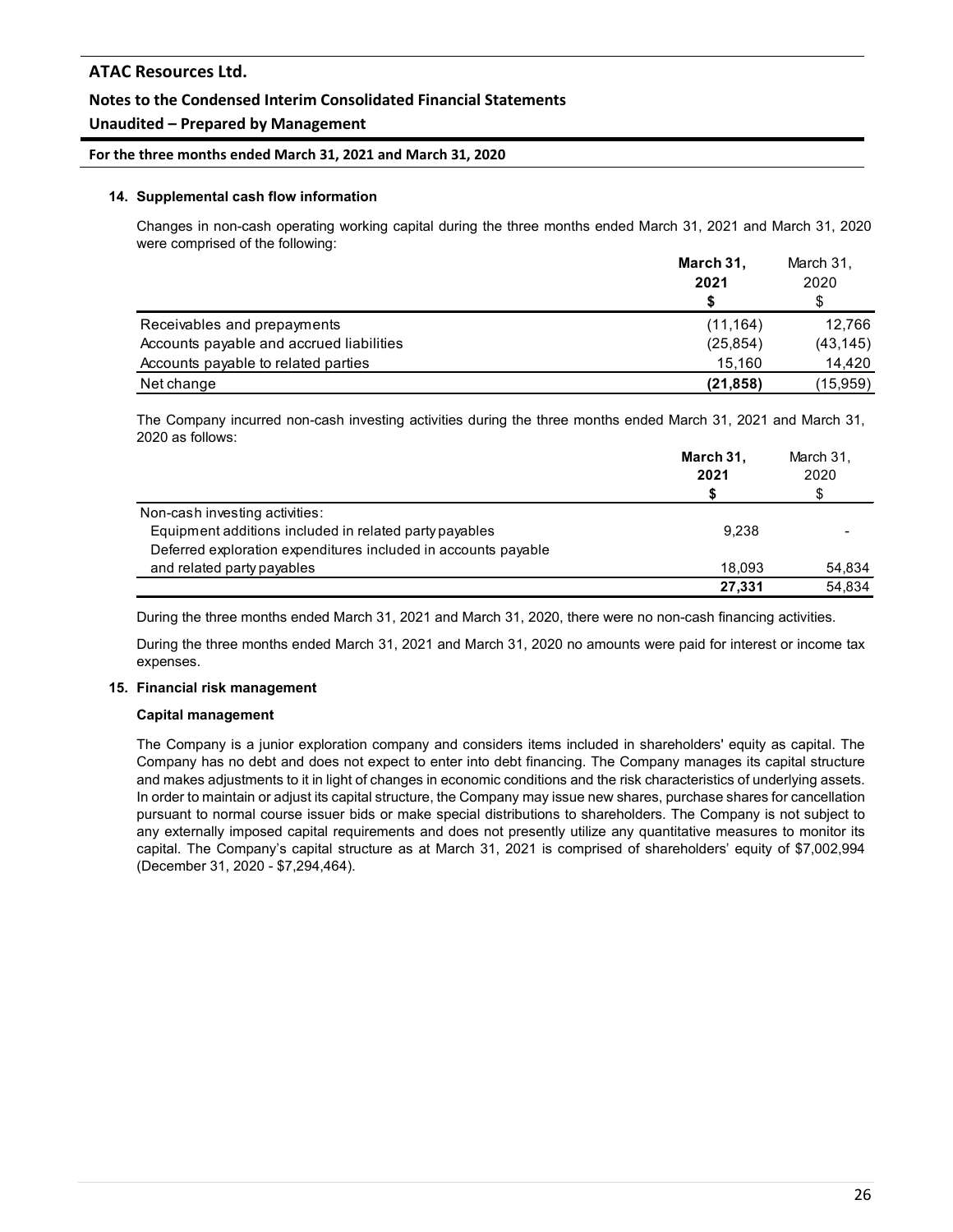### **Notes to the Condensed Interim Consolidated Financial Statements**

### **Unaudited – Prepared by Management**

#### **For the three months ended March 31, 2021 and March 31, 2020**

#### **14. Supplemental cash flow information**

Changes in non-cash operating working capital during the three months ended March 31, 2021 and March 31, 2020 were comprised of the following:

|                                          | March 31, | March 31, |  |
|------------------------------------------|-----------|-----------|--|
|                                          | 2021      | 2020      |  |
|                                          |           |           |  |
| Receivables and prepayments              | (11, 164) | 12.766    |  |
| Accounts payable and accrued liabilities | (25, 854) | (43, 145) |  |
| Accounts payable to related parties      | 15.160    | 14.420    |  |
| Net change                               | (21, 858) | (15,959)  |  |

The Company incurred non-cash investing activities during the three months ended March 31, 2021 and March 31, 2020 as follows:

|                                                                | March 31,<br>2021 | March 31.<br>2020 |
|----------------------------------------------------------------|-------------------|-------------------|
| Non-cash investing activities:                                 |                   |                   |
| Equipment additions included in related party payables         | 9.238             |                   |
| Deferred exploration expenditures included in accounts payable |                   |                   |
| and related party payables                                     | 18.093            | 54,834            |
|                                                                | 27.331            | 54,834            |

During the three months ended March 31, 2021 and March 31, 2020, there were no non-cash financing activities.

During the three months ended March 31, 2021 and March 31, 2020 no amounts were paid for interest or income tax expenses.

#### **15. Financial risk management**

#### **Capital management**

The Company is a junior exploration company and considers items included in shareholders' equity as capital. The Company has no debt and does not expect to enter into debt financing. The Company manages its capital structure and makes adjustments to it in light of changes in economic conditions and the risk characteristics of underlying assets. In order to maintain or adjust its capital structure, the Company may issue new shares, purchase shares for cancellation pursuant to normal course issuer bids or make special distributions to shareholders. The Company is not subject to any externally imposed capital requirements and does not presently utilize any quantitative measures to monitor its capital. The Company's capital structure as at March 31, 2021 is comprised of shareholders' equity of \$7,002,994 (December 31, 2020 - \$7,294,464).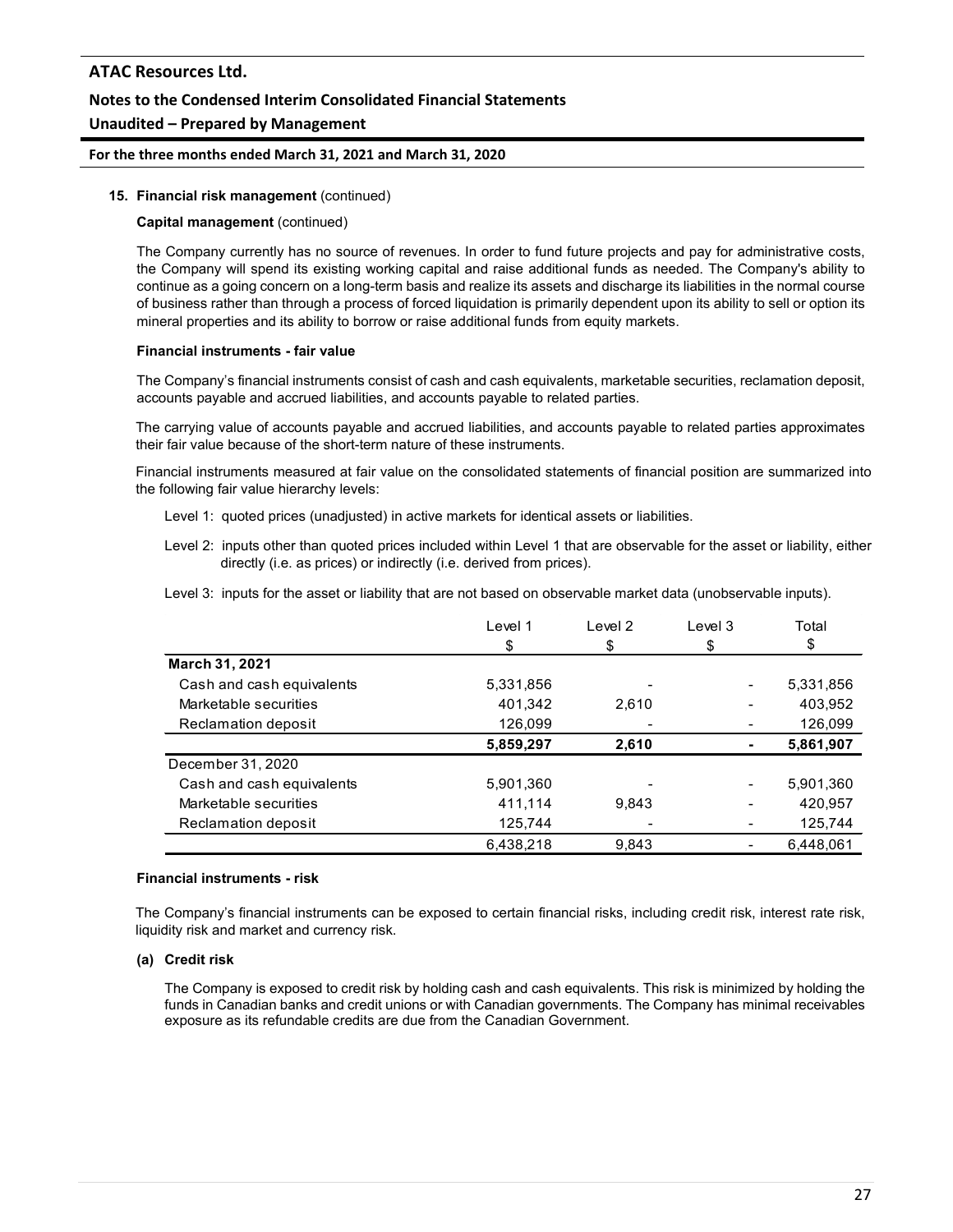### **For the three months ended March 31, 2021 and March 31, 2020**

#### **15. Financial risk management** (continued)

#### **Capital management** (continued)

The Company currently has no source of revenues. In order to fund future projects and pay for administrative costs, the Company will spend its existing working capital and raise additional funds as needed. The Company's ability to continue as a going concern on a long-term basis and realize its assets and discharge its liabilities in the normal course of business rather than through a process of forced liquidation is primarily dependent upon its ability to sell or option its mineral properties and its ability to borrow or raise additional funds from equity markets.

#### **Financial instruments - fair value**

The Company's financial instruments consist of cash and cash equivalents, marketable securities, reclamation deposit, accounts payable and accrued liabilities, and accounts payable to related parties.

The carrying value of accounts payable and accrued liabilities, and accounts payable to related parties approximates their fair value because of the short-term nature of these instruments.

Financial instruments measured at fair value on the consolidated statements of financial position are summarized into the following fair value hierarchy levels:

- Level 1: quoted prices (unadjusted) in active markets for identical assets or liabilities.
- Level 2: inputs other than quoted prices included within Level 1 that are observable for the asset or liability, either directly (i.e. as prices) or indirectly (i.e. derived from prices).
- Level 3: inputs for the asset or liability that are not based on observable market data (unobservable inputs).

|                           | Level 1   | Level <sub>2</sub> | Level 3 | Total     |
|---------------------------|-----------|--------------------|---------|-----------|
|                           | \$.       | \$                 |         | S.        |
| March 31, 2021            |           |                    |         |           |
| Cash and cash equivalents | 5,331,856 |                    |         | 5,331,856 |
| Marketable securities     | 401,342   | 2,610              |         | 403,952   |
| Reclamation deposit       | 126,099   |                    |         | 126,099   |
|                           | 5,859,297 | 2,610              |         | 5,861,907 |
| December 31, 2020         |           |                    |         |           |
| Cash and cash equivalents | 5,901,360 |                    |         | 5,901,360 |
| Marketable securities     | 411,114   | 9.843              |         | 420.957   |
| Reclamation deposit       | 125,744   |                    |         | 125,744   |
|                           | 6.438.218 | 9.843              |         | 6.448.061 |

#### **Financial instruments - risk**

The Company's financial instruments can be exposed to certain financial risks, including credit risk, interest rate risk, liquidity risk and market and currency risk.

#### **(a) Credit risk**

The Company is exposed to credit risk by holding cash and cash equivalents. This risk is minimized by holding the funds in Canadian banks and credit unions or with Canadian governments. The Company has minimal receivables exposure as its refundable credits are due from the Canadian Government.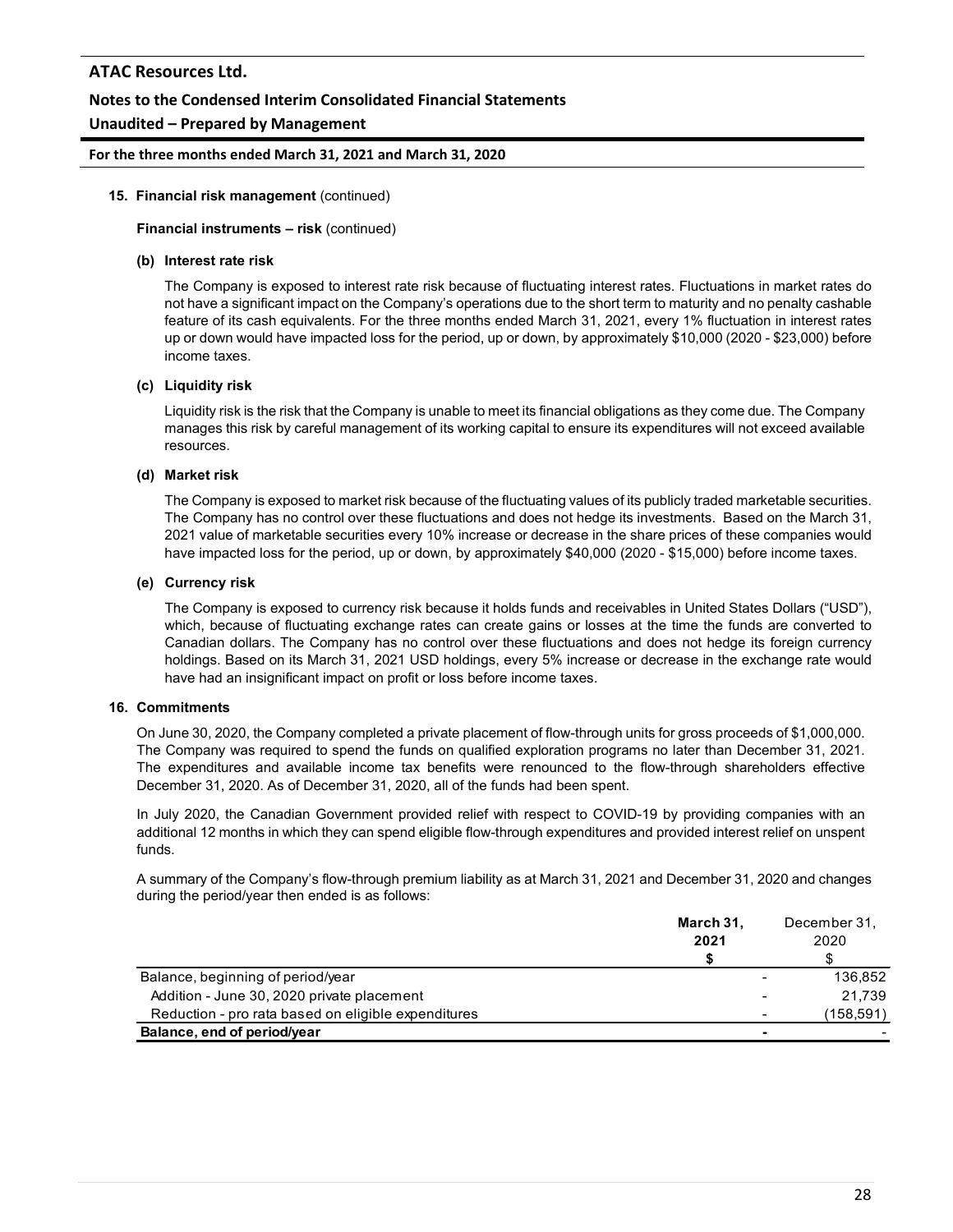### **Notes to the Condensed Interim Consolidated Financial Statements**

### **Unaudited – Prepared by Management**

#### **For the three months ended March 31, 2021 and March 31, 2020**

#### **15. Financial risk management** (continued)

#### **Financial instruments – risk** (continued)

#### **(b) Interest rate risk**

The Company is exposed to interest rate risk because of fluctuating interest rates. Fluctuations in market rates do not have a significant impact on the Company's operations due to the short term to maturity and no penalty cashable feature of its cash equivalents. For the three months ended March 31, 2021, every 1% fluctuation in interest rates up or down would have impacted loss for the period, up or down, by approximately \$10,000 (2020 - \$23,000) before income taxes.

#### **(c) Liquidity risk**

Liquidity risk is the risk that the Company is unable to meet its financial obligations as they come due. The Company manages this risk by careful management of its working capital to ensure its expenditures will not exceed available resources.

#### **(d) Market risk**

The Company is exposed to market risk because of the fluctuating values of its publicly traded marketable securities. The Company has no control over these fluctuations and does not hedge its investments. Based on the March 31, 2021 value of marketable securities every 10% increase or decrease in the share prices of these companies would have impacted loss for the period, up or down, by approximately \$40,000 (2020 - \$15,000) before income taxes.

#### **(e) Currency risk**

The Company is exposed to currency risk because it holds funds and receivables in United States Dollars ("USD"), which, because of fluctuating exchange rates can create gains or losses at the time the funds are converted to Canadian dollars. The Company has no control over these fluctuations and does not hedge its foreign currency holdings. Based on its March 31, 2021 USD holdings, every 5% increase or decrease in the exchange rate would have had an insignificant impact on profit or loss before income taxes.

#### **16. Commitments**

On June 30, 2020, the Company completed a private placement of flow-through units for gross proceeds of \$1,000,000. The Company was required to spend the funds on qualified exploration programs no later than December 31, 2021. The expenditures and available income tax benefits were renounced to the flow-through shareholders effective December 31, 2020. As of December 31, 2020, all of the funds had been spent.

In July 2020, the Canadian Government provided relief with respect to COVID-19 by providing companies with an additional 12 months in which they can spend eligible flow-through expenditures and provided interest relief on unspent funds.

A summary of the Company's flow-through premium liability as at March 31, 2021 and December 31, 2020 and changes during the period/year then ended is as follows:

|                                                     | March 31,<br>2021        | December 31.<br>2020     |
|-----------------------------------------------------|--------------------------|--------------------------|
|                                                     |                          |                          |
|                                                     |                          |                          |
| Balance, beginning of period/year                   | $\overline{\phantom{a}}$ | 136.852                  |
| Addition - June 30, 2020 private placement          | $\overline{\phantom{0}}$ | 21.739                   |
| Reduction - pro rata based on eligible expenditures | $\overline{\phantom{a}}$ | (158,591)                |
| Balance, end of period/year                         |                          | $\overline{\phantom{0}}$ |